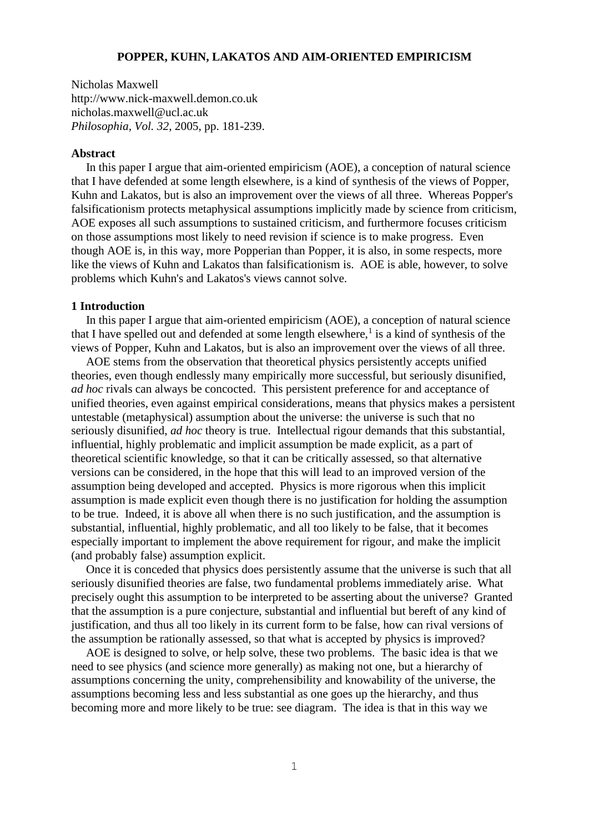# **POPPER, KUHN, LAKATOS AND AIM-ORIENTED EMPIRICISM**

Nicholas Maxwell http://www.nick-maxwell.demon.co.uk nicholas.maxwell@ucl.ac.uk *Philosophia, Vol. 32*, 2005, pp. 181-239.

#### **Abstract**

 In this paper I argue that aim-oriented empiricism (AOE), a conception of natural science that I have defended at some length elsewhere, is a kind of synthesis of the views of Popper, Kuhn and Lakatos, but is also an improvement over the views of all three. Whereas Popper's falsificationism protects metaphysical assumptions implicitly made by science from criticism, AOE exposes all such assumptions to sustained criticism, and furthermore focuses criticism on those assumptions most likely to need revision if science is to make progress. Even though AOE is, in this way, more Popperian than Popper, it is also, in some respects, more like the views of Kuhn and Lakatos than falsificationism is. AOE is able, however, to solve problems which Kuhn's and Lakatos's views cannot solve.

#### **1 Introduction**

 In this paper I argue that aim-oriented empiricism (AOE), a conception of natural science that I have spelled out and defended at some length elsewhere,<sup>1</sup> is a kind of synthesis of the views of Popper, Kuhn and Lakatos, but is also an improvement over the views of all three.

 AOE stems from the observation that theoretical physics persistently accepts unified theories, even though endlessly many empirically more successful, but seriously disunified, *ad hoc* rivals can always be concocted. This persistent preference for and acceptance of unified theories, even against empirical considerations, means that physics makes a persistent untestable (metaphysical) assumption about the universe: the universe is such that no seriously disunified, *ad hoc* theory is true. Intellectual rigour demands that this substantial, influential, highly problematic and implicit assumption be made explicit, as a part of theoretical scientific knowledge, so that it can be critically assessed, so that alternative versions can be considered, in the hope that this will lead to an improved version of the assumption being developed and accepted. Physics is more rigorous when this implicit assumption is made explicit even though there is no justification for holding the assumption to be true. Indeed, it is above all when there is no such justification, and the assumption is substantial, influential, highly problematic, and all too likely to be false, that it becomes especially important to implement the above requirement for rigour, and make the implicit (and probably false) assumption explicit.

 Once it is conceded that physics does persistently assume that the universe is such that all seriously disunified theories are false, two fundamental problems immediately arise. What precisely ought this assumption to be interpreted to be asserting about the universe? Granted that the assumption is a pure conjecture, substantial and influential but bereft of any kind of justification, and thus all too likely in its current form to be false, how can rival versions of the assumption be rationally assessed, so that what is accepted by physics is improved?

 AOE is designed to solve, or help solve, these two problems. The basic idea is that we need to see physics (and science more generally) as making not one, but a hierarchy of assumptions concerning the unity, comprehensibility and knowability of the universe, the assumptions becoming less and less substantial as one goes up the hierarchy, and thus becoming more and more likely to be true: see diagram. The idea is that in this way we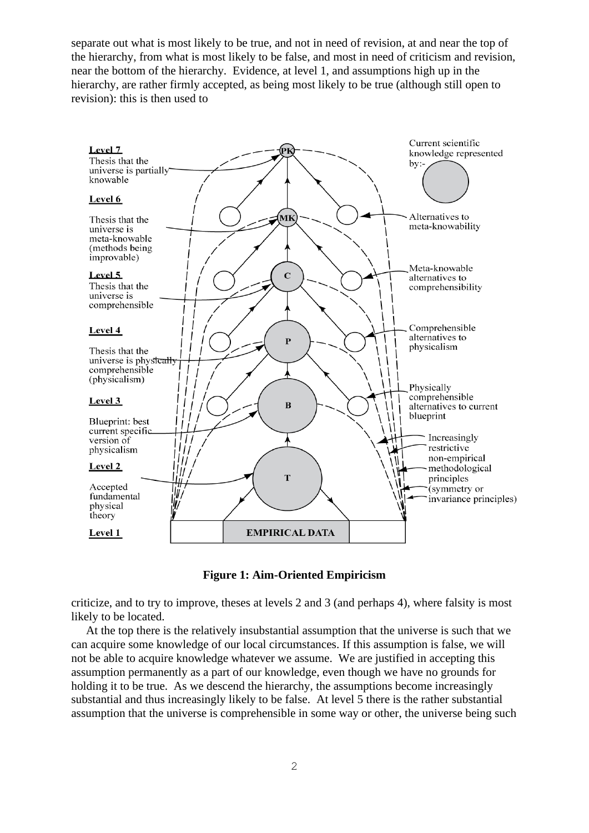separate out what is most likely to be true, and not in need of revision, at and near the top of the hierarchy, from what is most likely to be false, and most in need of criticism and revision, near the bottom of the hierarchy. Evidence, at level 1, and assumptions high up in the hierarchy, are rather firmly accepted, as being most likely to be true (although still open to revision): this is then used to



**Figure 1: Aim-Oriented Empiricism**

criticize, and to try to improve, theses at levels 2 and 3 (and perhaps 4), where falsity is most likely to be located.

 At the top there is the relatively insubstantial assumption that the universe is such that we can acquire some knowledge of our local circumstances. If this assumption is false, we will not be able to acquire knowledge whatever we assume. We are justified in accepting this assumption permanently as a part of our knowledge, even though we have no grounds for holding it to be true. As we descend the hierarchy, the assumptions become increasingly substantial and thus increasingly likely to be false. At level 5 there is the rather substantial assumption that the universe is comprehensible in some way or other, the universe being such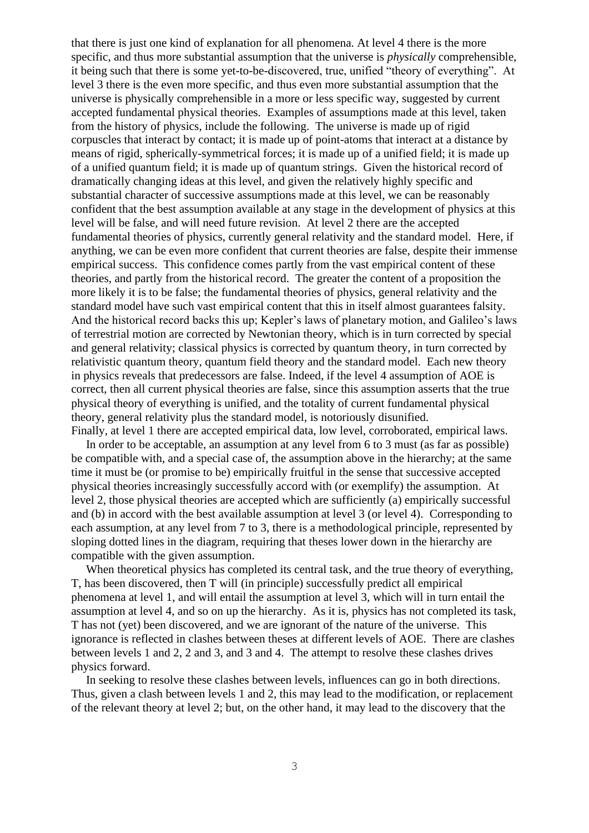that there is just one kind of explanation for all phenomena. At level 4 there is the more specific, and thus more substantial assumption that the universe is *physically* comprehensible, it being such that there is some yet-to-be-discovered, true, unified "theory of everything". At level 3 there is the even more specific, and thus even more substantial assumption that the universe is physically comprehensible in a more or less specific way, suggested by current accepted fundamental physical theories. Examples of assumptions made at this level, taken from the history of physics, include the following. The universe is made up of rigid corpuscles that interact by contact; it is made up of point-atoms that interact at a distance by means of rigid, spherically-symmetrical forces; it is made up of a unified field; it is made up of a unified quantum field; it is made up of quantum strings. Given the historical record of dramatically changing ideas at this level, and given the relatively highly specific and substantial character of successive assumptions made at this level, we can be reasonably confident that the best assumption available at any stage in the development of physics at this level will be false, and will need future revision. At level 2 there are the accepted fundamental theories of physics, currently general relativity and the standard model. Here, if anything, we can be even more confident that current theories are false, despite their immense empirical success. This confidence comes partly from the vast empirical content of these theories, and partly from the historical record. The greater the content of a proposition the more likely it is to be false; the fundamental theories of physics, general relativity and the standard model have such vast empirical content that this in itself almost guarantees falsity. And the historical record backs this up; Kepler's laws of planetary motion, and Galileo's laws of terrestrial motion are corrected by Newtonian theory, which is in turn corrected by special and general relativity; classical physics is corrected by quantum theory, in turn corrected by relativistic quantum theory, quantum field theory and the standard model. Each new theory in physics reveals that predecessors are false. Indeed, if the level 4 assumption of AOE is correct, then all current physical theories are false, since this assumption asserts that the true physical theory of everything is unified, and the totality of current fundamental physical theory, general relativity plus the standard model, is notoriously disunified. Finally, at level 1 there are accepted empirical data, low level, corroborated, empirical laws.

 In order to be acceptable, an assumption at any level from 6 to 3 must (as far as possible) be compatible with, and a special case of, the assumption above in the hierarchy; at the same time it must be (or promise to be) empirically fruitful in the sense that successive accepted physical theories increasingly successfully accord with (or exemplify) the assumption. At level 2, those physical theories are accepted which are sufficiently (a) empirically successful and (b) in accord with the best available assumption at level 3 (or level 4). Corresponding to each assumption, at any level from 7 to 3, there is a methodological principle, represented by sloping dotted lines in the diagram, requiring that theses lower down in the hierarchy are compatible with the given assumption.

When theoretical physics has completed its central task, and the true theory of everything, T, has been discovered, then T will (in principle) successfully predict all empirical phenomena at level 1, and will entail the assumption at level 3, which will in turn entail the assumption at level 4, and so on up the hierarchy. As it is, physics has not completed its task, T has not (yet) been discovered, and we are ignorant of the nature of the universe. This ignorance is reflected in clashes between theses at different levels of AOE. There are clashes between levels 1 and 2, 2 and 3, and 3 and 4. The attempt to resolve these clashes drives physics forward.

 In seeking to resolve these clashes between levels, influences can go in both directions. Thus, given a clash between levels 1 and 2, this may lead to the modification, or replacement of the relevant theory at level 2; but, on the other hand, it may lead to the discovery that the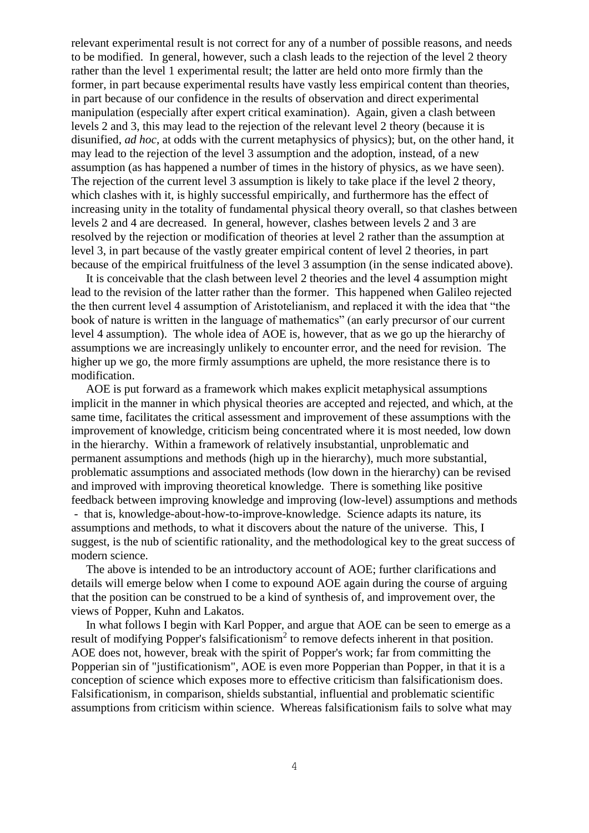relevant experimental result is not correct for any of a number of possible reasons, and needs to be modified. In general, however, such a clash leads to the rejection of the level 2 theory rather than the level 1 experimental result; the latter are held onto more firmly than the former, in part because experimental results have vastly less empirical content than theories, in part because of our confidence in the results of observation and direct experimental manipulation (especially after expert critical examination). Again, given a clash between levels 2 and 3, this may lead to the rejection of the relevant level 2 theory (because it is disunified, *ad hoc*, at odds with the current metaphysics of physics); but, on the other hand, it may lead to the rejection of the level 3 assumption and the adoption, instead, of a new assumption (as has happened a number of times in the history of physics, as we have seen). The rejection of the current level 3 assumption is likely to take place if the level 2 theory, which clashes with it, is highly successful empirically, and furthermore has the effect of increasing unity in the totality of fundamental physical theory overall, so that clashes between levels 2 and 4 are decreased. In general, however, clashes between levels 2 and 3 are resolved by the rejection or modification of theories at level 2 rather than the assumption at level 3, in part because of the vastly greater empirical content of level 2 theories, in part because of the empirical fruitfulness of the level 3 assumption (in the sense indicated above).

 It is conceivable that the clash between level 2 theories and the level 4 assumption might lead to the revision of the latter rather than the former. This happened when Galileo rejected the then current level 4 assumption of Aristotelianism, and replaced it with the idea that "the book of nature is written in the language of mathematics" (an early precursor of our current level 4 assumption). The whole idea of AOE is, however, that as we go up the hierarchy of assumptions we are increasingly unlikely to encounter error, and the need for revision. The higher up we go, the more firmly assumptions are upheld, the more resistance there is to modification.

 AOE is put forward as a framework which makes explicit metaphysical assumptions implicit in the manner in which physical theories are accepted and rejected, and which, at the same time, facilitates the critical assessment and improvement of these assumptions with the improvement of knowledge, criticism being concentrated where it is most needed, low down in the hierarchy. Within a framework of relatively insubstantial, unproblematic and permanent assumptions and methods (high up in the hierarchy), much more substantial, problematic assumptions and associated methods (low down in the hierarchy) can be revised and improved with improving theoretical knowledge. There is something like positive feedback between improving knowledge and improving (low-level) assumptions and methods - that is, knowledge-about-how-to-improve-knowledge. Science adapts its nature, its assumptions and methods, to what it discovers about the nature of the universe. This, I suggest, is the nub of scientific rationality, and the methodological key to the great success of modern science.

 The above is intended to be an introductory account of AOE; further clarifications and details will emerge below when I come to expound AOE again during the course of arguing that the position can be construed to be a kind of synthesis of, and improvement over, the views of Popper, Kuhn and Lakatos.

 In what follows I begin with Karl Popper, and argue that AOE can be seen to emerge as a result of modifying Popper's falsificationism<sup>2</sup> to remove defects inherent in that position. AOE does not, however, break with the spirit of Popper's work; far from committing the Popperian sin of "justificationism", AOE is even more Popperian than Popper, in that it is a conception of science which exposes more to effective criticism than falsificationism does. Falsificationism, in comparison, shields substantial, influential and problematic scientific assumptions from criticism within science. Whereas falsificationism fails to solve what may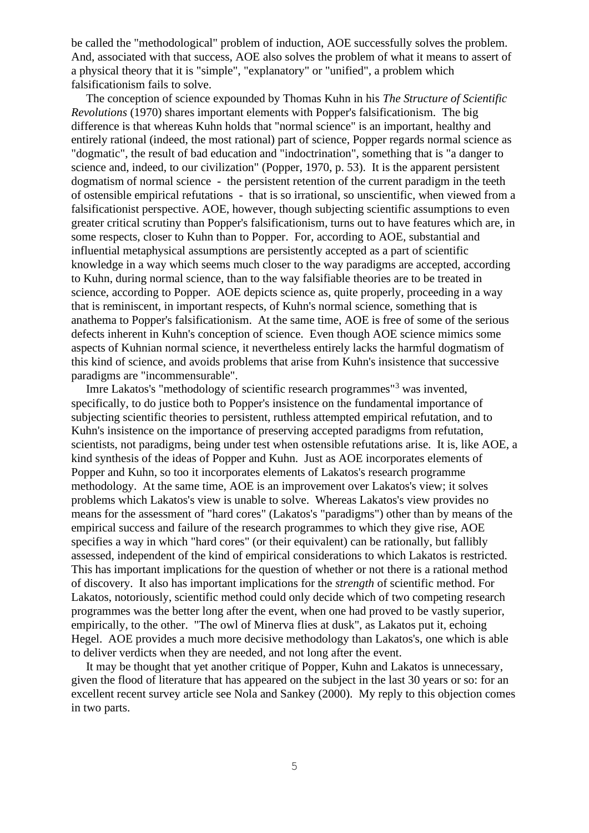be called the "methodological" problem of induction, AOE successfully solves the problem. And, associated with that success, AOE also solves the problem of what it means to assert of a physical theory that it is "simple", "explanatory" or "unified", a problem which falsificationism fails to solve.

 The conception of science expounded by Thomas Kuhn in his *The Structure of Scientific Revolutions* (1970) shares important elements with Popper's falsificationism. The big difference is that whereas Kuhn holds that "normal science" is an important, healthy and entirely rational (indeed, the most rational) part of science, Popper regards normal science as "dogmatic", the result of bad education and "indoctrination", something that is "a danger to science and, indeed, to our civilization" (Popper, 1970, p. 53). It is the apparent persistent dogmatism of normal science - the persistent retention of the current paradigm in the teeth of ostensible empirical refutations - that is so irrational, so unscientific, when viewed from a falsificationist perspective. AOE, however, though subjecting scientific assumptions to even greater critical scrutiny than Popper's falsificationism, turns out to have features which are, in some respects, closer to Kuhn than to Popper. For, according to AOE, substantial and influential metaphysical assumptions are persistently accepted as a part of scientific knowledge in a way which seems much closer to the way paradigms are accepted, according to Kuhn, during normal science, than to the way falsifiable theories are to be treated in science, according to Popper. AOE depicts science as, quite properly, proceeding in a way that is reminiscent, in important respects, of Kuhn's normal science, something that is anathema to Popper's falsificationism. At the same time, AOE is free of some of the serious defects inherent in Kuhn's conception of science. Even though AOE science mimics some aspects of Kuhnian normal science, it nevertheless entirely lacks the harmful dogmatism of this kind of science, and avoids problems that arise from Kuhn's insistence that successive paradigms are "incommensurable".

 Imre Lakatos's "methodology of scientific research programmes"<sup>3</sup> was invented, specifically, to do justice both to Popper's insistence on the fundamental importance of subjecting scientific theories to persistent, ruthless attempted empirical refutation, and to Kuhn's insistence on the importance of preserving accepted paradigms from refutation, scientists, not paradigms, being under test when ostensible refutations arise. It is, like AOE, a kind synthesis of the ideas of Popper and Kuhn. Just as AOE incorporates elements of Popper and Kuhn, so too it incorporates elements of Lakatos's research programme methodology. At the same time, AOE is an improvement over Lakatos's view; it solves problems which Lakatos's view is unable to solve. Whereas Lakatos's view provides no means for the assessment of "hard cores" (Lakatos's "paradigms") other than by means of the empirical success and failure of the research programmes to which they give rise, AOE specifies a way in which "hard cores" (or their equivalent) can be rationally, but fallibly assessed, independent of the kind of empirical considerations to which Lakatos is restricted. This has important implications for the question of whether or not there is a rational method of discovery. It also has important implications for the *strength* of scientific method. For Lakatos, notoriously, scientific method could only decide which of two competing research programmes was the better long after the event, when one had proved to be vastly superior, empirically, to the other. "The owl of Minerva flies at dusk", as Lakatos put it, echoing Hegel. AOE provides a much more decisive methodology than Lakatos's, one which is able to deliver verdicts when they are needed, and not long after the event.

 It may be thought that yet another critique of Popper, Kuhn and Lakatos is unnecessary, given the flood of literature that has appeared on the subject in the last 30 years or so: for an excellent recent survey article see Nola and Sankey (2000). My reply to this objection comes in two parts.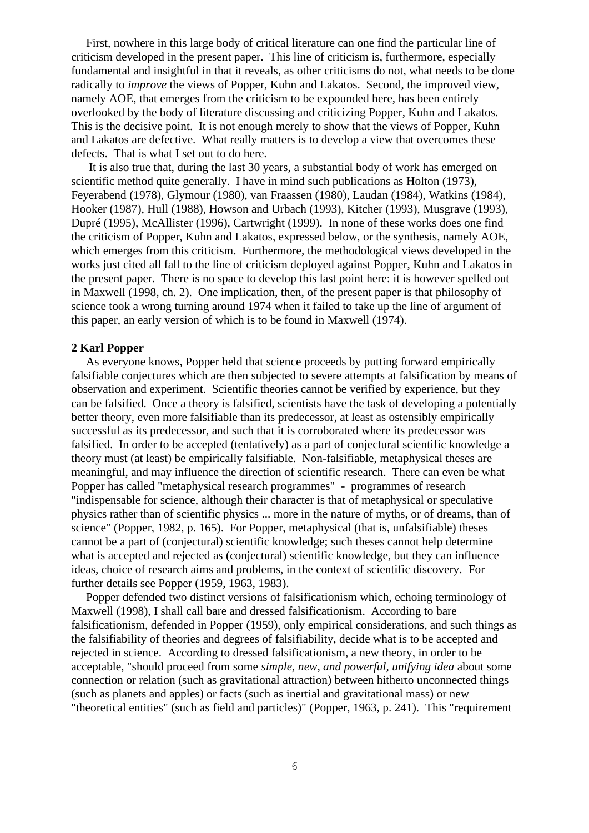First, nowhere in this large body of critical literature can one find the particular line of criticism developed in the present paper. This line of criticism is, furthermore, especially fundamental and insightful in that it reveals, as other criticisms do not, what needs to be done radically to *improve* the views of Popper, Kuhn and Lakatos. Second, the improved view, namely AOE, that emerges from the criticism to be expounded here, has been entirely overlooked by the body of literature discussing and criticizing Popper, Kuhn and Lakatos. This is the decisive point. It is not enough merely to show that the views of Popper, Kuhn and Lakatos are defective. What really matters is to develop a view that overcomes these defects. That is what I set out to do here.

 It is also true that, during the last 30 years, a substantial body of work has emerged on scientific method quite generally. I have in mind such publications as Holton (1973), Feyerabend (1978), Glymour (1980), van Fraassen (1980), Laudan (1984), Watkins (1984), Hooker (1987), Hull (1988), Howson and Urbach (1993), Kitcher (1993), Musgrave (1993), Dupré (1995), McAllister (1996), Cartwright (1999). In none of these works does one find the criticism of Popper, Kuhn and Lakatos, expressed below, or the synthesis, namely AOE, which emerges from this criticism. Furthermore, the methodological views developed in the works just cited all fall to the line of criticism deployed against Popper, Kuhn and Lakatos in the present paper. There is no space to develop this last point here: it is however spelled out in Maxwell (1998, ch. 2). One implication, then, of the present paper is that philosophy of science took a wrong turning around 1974 when it failed to take up the line of argument of this paper, an early version of which is to be found in Maxwell (1974).

### **2 Karl Popper**

 As everyone knows, Popper held that science proceeds by putting forward empirically falsifiable conjectures which are then subjected to severe attempts at falsification by means of observation and experiment. Scientific theories cannot be verified by experience, but they can be falsified. Once a theory is falsified, scientists have the task of developing a potentially better theory, even more falsifiable than its predecessor, at least as ostensibly empirically successful as its predecessor, and such that it is corroborated where its predecessor was falsified. In order to be accepted (tentatively) as a part of conjectural scientific knowledge a theory must (at least) be empirically falsifiable. Non-falsifiable, metaphysical theses are meaningful, and may influence the direction of scientific research. There can even be what Popper has called "metaphysical research programmes" - programmes of research "indispensable for science, although their character is that of metaphysical or speculative physics rather than of scientific physics ... more in the nature of myths, or of dreams, than of science" (Popper, 1982, p. 165). For Popper, metaphysical (that is, unfalsifiable) theses cannot be a part of (conjectural) scientific knowledge; such theses cannot help determine what is accepted and rejected as (conjectural) scientific knowledge, but they can influence ideas, choice of research aims and problems, in the context of scientific discovery. For further details see Popper (1959, 1963, 1983).

 Popper defended two distinct versions of falsificationism which, echoing terminology of Maxwell (1998), I shall call bare and dressed falsificationism. According to bare falsificationism, defended in Popper (1959), only empirical considerations, and such things as the falsifiability of theories and degrees of falsifiability, decide what is to be accepted and rejected in science. According to dressed falsificationism, a new theory, in order to be acceptable, "should proceed from some *simple, new, and powerful, unifying idea* about some connection or relation (such as gravitational attraction) between hitherto unconnected things (such as planets and apples) or facts (such as inertial and gravitational mass) or new "theoretical entities" (such as field and particles)" (Popper, 1963, p. 241). This "requirement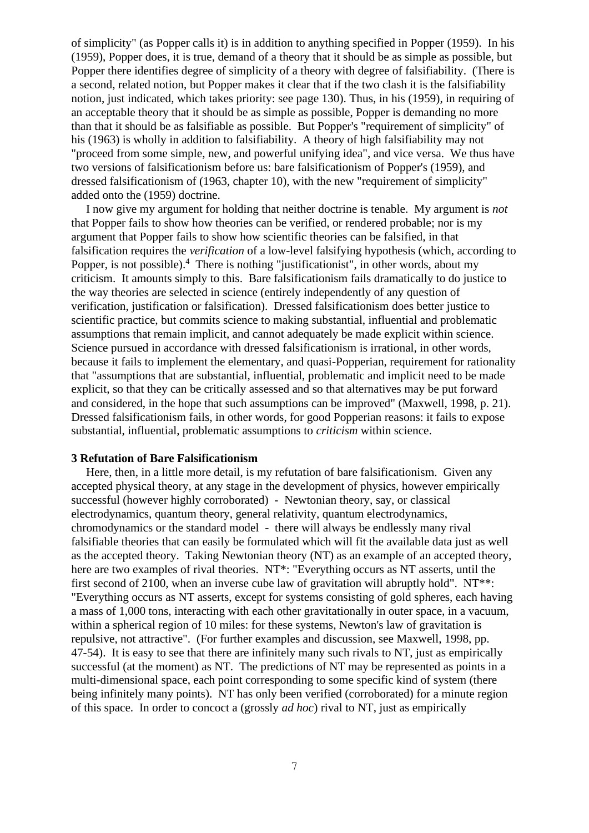of simplicity" (as Popper calls it) is in addition to anything specified in Popper (1959). In his (1959), Popper does, it is true, demand of a theory that it should be as simple as possible, but Popper there identifies degree of simplicity of a theory with degree of falsifiability. (There is a second, related notion, but Popper makes it clear that if the two clash it is the falsifiability notion, just indicated, which takes priority: see page 130). Thus, in his (1959), in requiring of an acceptable theory that it should be as simple as possible, Popper is demanding no more than that it should be as falsifiable as possible. But Popper's "requirement of simplicity" of his (1963) is wholly in addition to falsifiability. A theory of high falsifiability may not "proceed from some simple, new, and powerful unifying idea", and vice versa. We thus have two versions of falsificationism before us: bare falsificationism of Popper's (1959), and dressed falsificationism of (1963, chapter 10), with the new "requirement of simplicity" added onto the (1959) doctrine.

 I now give my argument for holding that neither doctrine is tenable. My argument is *not* that Popper fails to show how theories can be verified, or rendered probable; nor is my argument that Popper fails to show how scientific theories can be falsified, in that falsification requires the *verification* of a low-level falsifying hypothesis (which, according to Popper, is not possible). $4$  There is nothing "justificationist", in other words, about my criticism. It amounts simply to this. Bare falsificationism fails dramatically to do justice to the way theories are selected in science (entirely independently of any question of verification, justification or falsification). Dressed falsificationism does better justice to scientific practice, but commits science to making substantial, influential and problematic assumptions that remain implicit, and cannot adequately be made explicit within science. Science pursued in accordance with dressed falsificationism is irrational, in other words, because it fails to implement the elementary, and quasi-Popperian, requirement for rationality that "assumptions that are substantial, influential, problematic and implicit need to be made explicit, so that they can be critically assessed and so that alternatives may be put forward and considered, in the hope that such assumptions can be improved" (Maxwell, 1998, p. 21). Dressed falsificationism fails, in other words, for good Popperian reasons: it fails to expose substantial, influential, problematic assumptions to *criticism* within science.

### **3 Refutation of Bare Falsificationism**

 Here, then, in a little more detail, is my refutation of bare falsificationism. Given any accepted physical theory, at any stage in the development of physics, however empirically successful (however highly corroborated) - Newtonian theory, say, or classical electrodynamics, quantum theory, general relativity, quantum electrodynamics, chromodynamics or the standard model - there will always be endlessly many rival falsifiable theories that can easily be formulated which will fit the available data just as well as the accepted theory. Taking Newtonian theory (NT) as an example of an accepted theory, here are two examples of rival theories. NT\*: "Everything occurs as NT asserts, until the first second of 2100, when an inverse cube law of gravitation will abruptly hold". NT\*\*: "Everything occurs as NT asserts, except for systems consisting of gold spheres, each having a mass of 1,000 tons, interacting with each other gravitationally in outer space, in a vacuum, within a spherical region of 10 miles: for these systems, Newton's law of gravitation is repulsive, not attractive". (For further examples and discussion, see Maxwell, 1998, pp. 47-54). It is easy to see that there are infinitely many such rivals to NT, just as empirically successful (at the moment) as NT. The predictions of NT may be represented as points in a multi-dimensional space, each point corresponding to some specific kind of system (there being infinitely many points). NT has only been verified (corroborated) for a minute region of this space. In order to concoct a (grossly *ad hoc*) rival to NT, just as empirically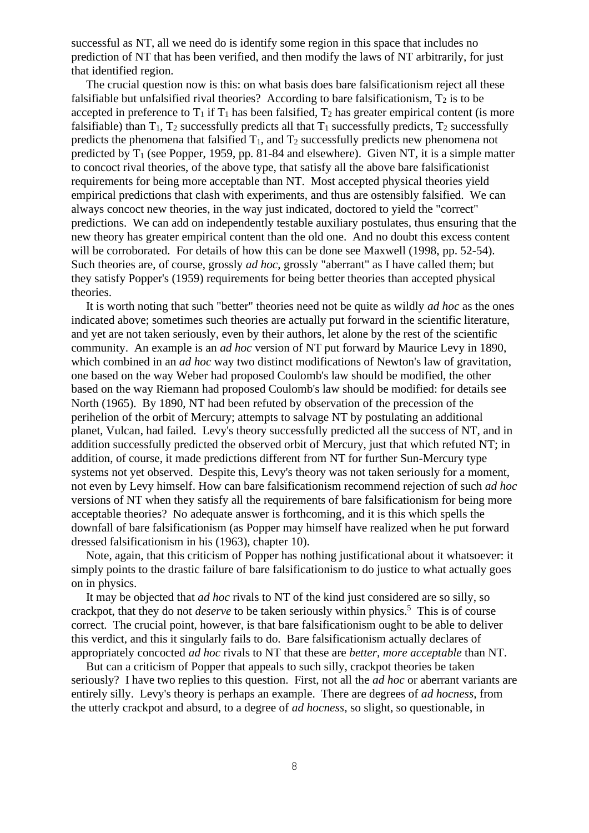successful as NT, all we need do is identify some region in this space that includes no prediction of NT that has been verified, and then modify the laws of NT arbitrarily, for just that identified region.

 The crucial question now is this: on what basis does bare falsificationism reject all these falsifiable but unfalsified rival theories? According to bare falsificationism,  $T_2$  is to be accepted in preference to  $T_1$  if  $T_1$  has been falsified,  $T_2$  has greater empirical content (is more falsifiable) than  $T_1$ ,  $T_2$  successfully predicts all that  $T_1$  successfully predicts,  $T_2$  successfully predicts the phenomena that falsified  $T_1$ , and  $T_2$  successfully predicts new phenomena not predicted by  $T_1$  (see Popper, 1959, pp. 81-84 and elsewhere). Given NT, it is a simple matter to concoct rival theories, of the above type, that satisfy all the above bare falsificationist requirements for being more acceptable than NT. Most accepted physical theories yield empirical predictions that clash with experiments, and thus are ostensibly falsified. We can always concoct new theories, in the way just indicated, doctored to yield the "correct" predictions. We can add on independently testable auxiliary postulates, thus ensuring that the new theory has greater empirical content than the old one. And no doubt this excess content will be corroborated. For details of how this can be done see Maxwell (1998, pp. 52-54). Such theories are, of course, grossly *ad hoc*, grossly "aberrant" as I have called them; but they satisfy Popper's (1959) requirements for being better theories than accepted physical theories.

 It is worth noting that such "better" theories need not be quite as wildly *ad hoc* as the ones indicated above; sometimes such theories are actually put forward in the scientific literature, and yet are not taken seriously, even by their authors, let alone by the rest of the scientific community. An example is an *ad hoc* version of NT put forward by Maurice Levy in 1890, which combined in an *ad hoc* way two distinct modifications of Newton's law of gravitation, one based on the way Weber had proposed Coulomb's law should be modified, the other based on the way Riemann had proposed Coulomb's law should be modified: for details see North (1965). By 1890, NT had been refuted by observation of the precession of the perihelion of the orbit of Mercury; attempts to salvage NT by postulating an additional planet, Vulcan, had failed. Levy's theory successfully predicted all the success of NT, and in addition successfully predicted the observed orbit of Mercury, just that which refuted NT; in addition, of course, it made predictions different from NT for further Sun-Mercury type systems not yet observed. Despite this, Levy's theory was not taken seriously for a moment, not even by Levy himself. How can bare falsificationism recommend rejection of such *ad hoc* versions of NT when they satisfy all the requirements of bare falsificationism for being more acceptable theories? No adequate answer is forthcoming, and it is this which spells the downfall of bare falsificationism (as Popper may himself have realized when he put forward dressed falsificationism in his (1963), chapter 10).

 Note, again, that this criticism of Popper has nothing justificational about it whatsoever: it simply points to the drastic failure of bare falsificationism to do justice to what actually goes on in physics.

 It may be objected that *ad hoc* rivals to NT of the kind just considered are so silly, so crackpot, that they do not *deserve* to be taken seriously within physics.<sup>5</sup> This is of course correct. The crucial point, however, is that bare falsificationism ought to be able to deliver this verdict, and this it singularly fails to do. Bare falsificationism actually declares of appropriately concocted *ad hoc* rivals to NT that these are *better, more acceptable* than NT.

 But can a criticism of Popper that appeals to such silly, crackpot theories be taken seriously? I have two replies to this question. First, not all the *ad hoc* or aberrant variants are entirely silly. Levy's theory is perhaps an example. There are degrees of *ad hocness*, from the utterly crackpot and absurd, to a degree of *ad hocness*, so slight, so questionable, in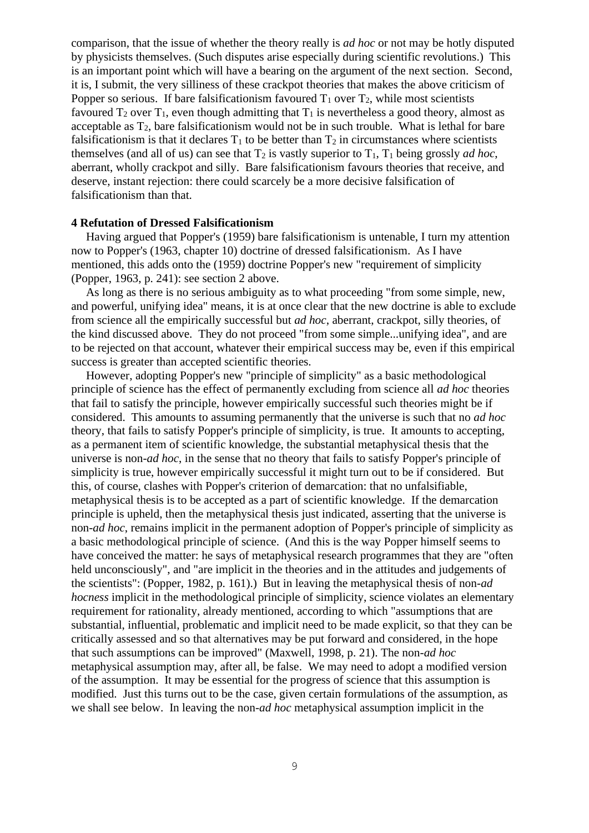comparison, that the issue of whether the theory really is *ad hoc* or not may be hotly disputed by physicists themselves. (Such disputes arise especially during scientific revolutions.) This is an important point which will have a bearing on the argument of the next section. Second, it is, I submit, the very silliness of these crackpot theories that makes the above criticism of Popper so serious. If bare falsificationism favoured  $T_1$  over  $T_2$ , while most scientists favoured  $T_2$  over  $T_1$ , even though admitting that  $T_1$  is nevertheless a good theory, almost as acceptable as  $T_2$ , bare falsificationism would not be in such trouble. What is lethal for bare falsificationism is that it declares  $T_1$  to be better than  $T_2$  in circumstances where scientists themselves (and all of us) can see that  $T_2$  is vastly superior to  $T_1$ ,  $T_1$  being grossly *ad hoc*, aberrant, wholly crackpot and silly. Bare falsificationism favours theories that receive, and deserve, instant rejection: there could scarcely be a more decisive falsification of falsificationism than that.

# **4 Refutation of Dressed Falsificationism**

 Having argued that Popper's (1959) bare falsificationism is untenable, I turn my attention now to Popper's (1963, chapter 10) doctrine of dressed falsificationism. As I have mentioned, this adds onto the (1959) doctrine Popper's new "requirement of simplicity (Popper, 1963, p. 241): see section 2 above.

 As long as there is no serious ambiguity as to what proceeding "from some simple, new, and powerful, unifying idea" means, it is at once clear that the new doctrine is able to exclude from science all the empirically successful but *ad hoc*, aberrant, crackpot, silly theories, of the kind discussed above. They do not proceed "from some simple...unifying idea", and are to be rejected on that account, whatever their empirical success may be, even if this empirical success is greater than accepted scientific theories.

 However, adopting Popper's new "principle of simplicity" as a basic methodological principle of science has the effect of permanently excluding from science all *ad hoc* theories that fail to satisfy the principle, however empirically successful such theories might be if considered. This amounts to assuming permanently that the universe is such that no *ad hoc* theory, that fails to satisfy Popper's principle of simplicity, is true. It amounts to accepting, as a permanent item of scientific knowledge, the substantial metaphysical thesis that the universe is non-*ad hoc*, in the sense that no theory that fails to satisfy Popper's principle of simplicity is true, however empirically successful it might turn out to be if considered. But this, of course, clashes with Popper's criterion of demarcation: that no unfalsifiable, metaphysical thesis is to be accepted as a part of scientific knowledge. If the demarcation principle is upheld, then the metaphysical thesis just indicated, asserting that the universe is non-*ad hoc*, remains implicit in the permanent adoption of Popper's principle of simplicity as a basic methodological principle of science. (And this is the way Popper himself seems to have conceived the matter: he says of metaphysical research programmes that they are "often held unconsciously", and "are implicit in the theories and in the attitudes and judgements of the scientists": (Popper, 1982, p. 161).) But in leaving the metaphysical thesis of non-*ad hocness* implicit in the methodological principle of simplicity, science violates an elementary requirement for rationality, already mentioned, according to which "assumptions that are substantial, influential, problematic and implicit need to be made explicit, so that they can be critically assessed and so that alternatives may be put forward and considered, in the hope that such assumptions can be improved" (Maxwell, 1998, p. 21). The non-*ad hoc* metaphysical assumption may, after all, be false. We may need to adopt a modified version of the assumption. It may be essential for the progress of science that this assumption is modified. Just this turns out to be the case, given certain formulations of the assumption, as we shall see below. In leaving the non-*ad hoc* metaphysical assumption implicit in the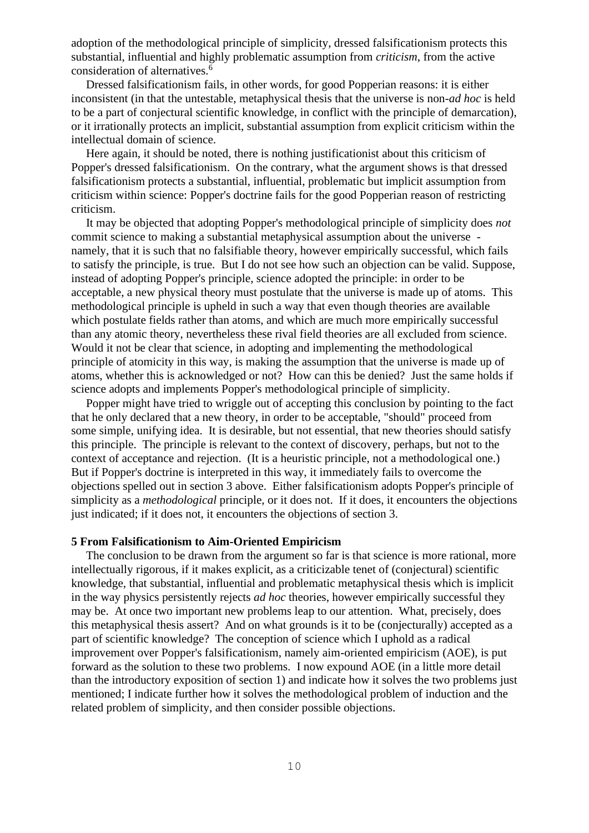adoption of the methodological principle of simplicity, dressed falsificationism protects this substantial, influential and highly problematic assumption from *criticism*, from the active consideration of alternatives.<sup>6</sup>

 Dressed falsificationism fails, in other words, for good Popperian reasons: it is either inconsistent (in that the untestable, metaphysical thesis that the universe is non-*ad hoc* is held to be a part of conjectural scientific knowledge, in conflict with the principle of demarcation), or it irrationally protects an implicit, substantial assumption from explicit criticism within the intellectual domain of science.

 Here again, it should be noted, there is nothing justificationist about this criticism of Popper's dressed falsificationism. On the contrary, what the argument shows is that dressed falsificationism protects a substantial, influential, problematic but implicit assumption from criticism within science: Popper's doctrine fails for the good Popperian reason of restricting criticism.

 It may be objected that adopting Popper's methodological principle of simplicity does *not* commit science to making a substantial metaphysical assumption about the universe namely, that it is such that no falsifiable theory, however empirically successful, which fails to satisfy the principle, is true. But I do not see how such an objection can be valid. Suppose, instead of adopting Popper's principle, science adopted the principle: in order to be acceptable, a new physical theory must postulate that the universe is made up of atoms. This methodological principle is upheld in such a way that even though theories are available which postulate fields rather than atoms, and which are much more empirically successful than any atomic theory, nevertheless these rival field theories are all excluded from science. Would it not be clear that science, in adopting and implementing the methodological principle of atomicity in this way, is making the assumption that the universe is made up of atoms, whether this is acknowledged or not? How can this be denied? Just the same holds if science adopts and implements Popper's methodological principle of simplicity.

 Popper might have tried to wriggle out of accepting this conclusion by pointing to the fact that he only declared that a new theory, in order to be acceptable, "should" proceed from some simple, unifying idea. It is desirable, but not essential, that new theories should satisfy this principle. The principle is relevant to the context of discovery, perhaps, but not to the context of acceptance and rejection. (It is a heuristic principle, not a methodological one.) But if Popper's doctrine is interpreted in this way, it immediately fails to overcome the objections spelled out in section 3 above. Either falsificationism adopts Popper's principle of simplicity as a *methodological* principle, or it does not. If it does, it encounters the objections just indicated; if it does not, it encounters the objections of section 3.

#### **5 From Falsificationism to Aim-Oriented Empiricism**

 The conclusion to be drawn from the argument so far is that science is more rational, more intellectually rigorous, if it makes explicit, as a criticizable tenet of (conjectural) scientific knowledge, that substantial, influential and problematic metaphysical thesis which is implicit in the way physics persistently rejects *ad hoc* theories, however empirically successful they may be. At once two important new problems leap to our attention. What, precisely, does this metaphysical thesis assert? And on what grounds is it to be (conjecturally) accepted as a part of scientific knowledge? The conception of science which I uphold as a radical improvement over Popper's falsificationism, namely aim-oriented empiricism (AOE), is put forward as the solution to these two problems. I now expound AOE (in a little more detail than the introductory exposition of section 1) and indicate how it solves the two problems just mentioned; I indicate further how it solves the methodological problem of induction and the related problem of simplicity, and then consider possible objections.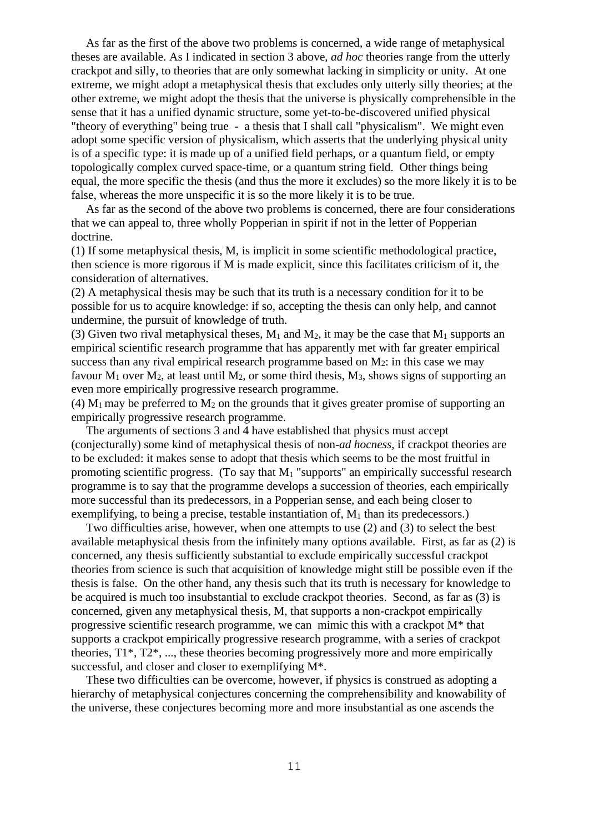As far as the first of the above two problems is concerned, a wide range of metaphysical theses are available. As I indicated in section 3 above, *ad hoc* theories range from the utterly crackpot and silly, to theories that are only somewhat lacking in simplicity or unity. At one extreme, we might adopt a metaphysical thesis that excludes only utterly silly theories; at the other extreme, we might adopt the thesis that the universe is physically comprehensible in the sense that it has a unified dynamic structure, some yet-to-be-discovered unified physical "theory of everything" being true - a thesis that I shall call "physicalism". We might even adopt some specific version of physicalism, which asserts that the underlying physical unity is of a specific type: it is made up of a unified field perhaps, or a quantum field, or empty topologically complex curved space-time, or a quantum string field. Other things being equal, the more specific the thesis (and thus the more it excludes) so the more likely it is to be false, whereas the more unspecific it is so the more likely it is to be true.

 As far as the second of the above two problems is concerned, there are four considerations that we can appeal to, three wholly Popperian in spirit if not in the letter of Popperian doctrine.

(1) If some metaphysical thesis, M, is implicit in some scientific methodological practice, then science is more rigorous if M is made explicit, since this facilitates criticism of it, the consideration of alternatives.

(2) A metaphysical thesis may be such that its truth is a necessary condition for it to be possible for us to acquire knowledge: if so, accepting the thesis can only help, and cannot undermine, the pursuit of knowledge of truth.

(3) Given two rival metaphysical theses,  $M_1$  and  $M_2$ , it may be the case that  $M_1$  supports an empirical scientific research programme that has apparently met with far greater empirical success than any rival empirical research programme based on  $M_2$ : in this case we may favour  $M_1$  over  $M_2$ , at least until  $M_2$ , or some third thesis,  $M_3$ , shows signs of supporting an even more empirically progressive research programme.

(4)  $M_1$  may be preferred to  $M_2$  on the grounds that it gives greater promise of supporting an empirically progressive research programme.

 The arguments of sections 3 and 4 have established that physics must accept (conjecturally) some kind of metaphysical thesis of non-*ad hocness*, if crackpot theories are to be excluded: it makes sense to adopt that thesis which seems to be the most fruitful in promoting scientific progress. (To say that  $M_1$  "supports" an empirically successful research programme is to say that the programme develops a succession of theories, each empirically more successful than its predecessors, in a Popperian sense, and each being closer to exemplifying, to being a precise, testable instantiation of,  $M_1$  than its predecessors.)

 Two difficulties arise, however, when one attempts to use (2) and (3) to select the best available metaphysical thesis from the infinitely many options available. First, as far as (2) is concerned, any thesis sufficiently substantial to exclude empirically successful crackpot theories from science is such that acquisition of knowledge might still be possible even if the thesis is false. On the other hand, any thesis such that its truth is necessary for knowledge to be acquired is much too insubstantial to exclude crackpot theories. Second, as far as (3) is concerned, given any metaphysical thesis, M, that supports a non-crackpot empirically progressive scientific research programme, we can mimic this with a crackpot M\* that supports a crackpot empirically progressive research programme, with a series of crackpot theories, T1\*, T2\*, ..., these theories becoming progressively more and more empirically successful, and closer and closer to exemplifying M\*.

 These two difficulties can be overcome, however, if physics is construed as adopting a hierarchy of metaphysical conjectures concerning the comprehensibility and knowability of the universe, these conjectures becoming more and more insubstantial as one ascends the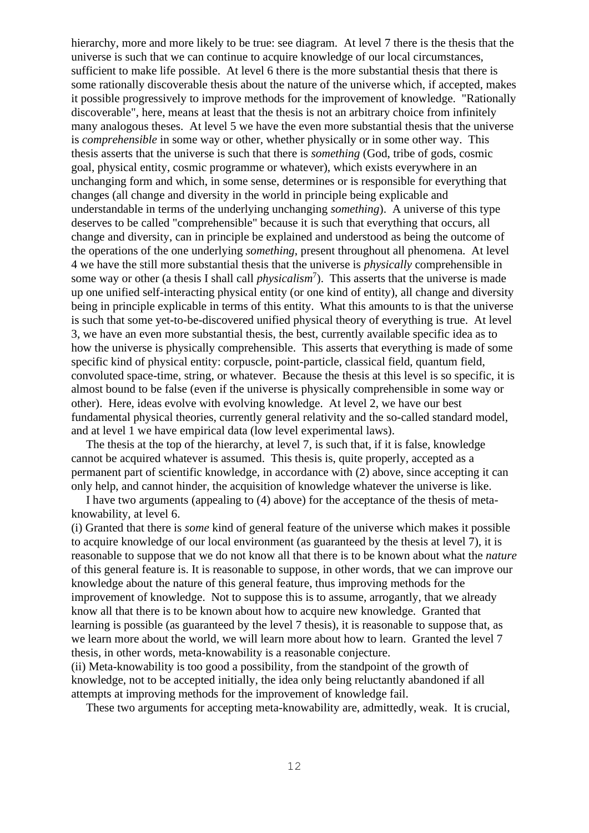hierarchy, more and more likely to be true: see diagram. At level 7 there is the thesis that the universe is such that we can continue to acquire knowledge of our local circumstances, sufficient to make life possible. At level 6 there is the more substantial thesis that there is some rationally discoverable thesis about the nature of the universe which, if accepted, makes it possible progressively to improve methods for the improvement of knowledge. "Rationally discoverable", here, means at least that the thesis is not an arbitrary choice from infinitely many analogous theses. At level 5 we have the even more substantial thesis that the universe is *comprehensible* in some way or other, whether physically or in some other way. This thesis asserts that the universe is such that there is *something* (God, tribe of gods, cosmic goal, physical entity, cosmic programme or whatever), which exists everywhere in an unchanging form and which, in some sense, determines or is responsible for everything that changes (all change and diversity in the world in principle being explicable and understandable in terms of the underlying unchanging *something*). A universe of this type deserves to be called "comprehensible" because it is such that everything that occurs, all change and diversity, can in principle be explained and understood as being the outcome of the operations of the one underlying *something*, present throughout all phenomena. At level 4 we have the still more substantial thesis that the universe is *physically* comprehensible in some way or other (a thesis I shall call *physicalism<sup>7</sup>*). This asserts that the universe is made up one unified self-interacting physical entity (or one kind of entity), all change and diversity being in principle explicable in terms of this entity. What this amounts to is that the universe is such that some yet-to-be-discovered unified physical theory of everything is true. At level 3, we have an even more substantial thesis, the best, currently available specific idea as to how the universe is physically comprehensible. This asserts that everything is made of some specific kind of physical entity: corpuscle, point-particle, classical field, quantum field, convoluted space-time, string, or whatever. Because the thesis at this level is so specific, it is almost bound to be false (even if the universe is physically comprehensible in some way or other). Here, ideas evolve with evolving knowledge. At level 2, we have our best fundamental physical theories, currently general relativity and the so-called standard model, and at level 1 we have empirical data (low level experimental laws).

 The thesis at the top of the hierarchy, at level 7, is such that, if it is false, knowledge cannot be acquired whatever is assumed. This thesis is, quite properly, accepted as a permanent part of scientific knowledge, in accordance with (2) above, since accepting it can only help, and cannot hinder, the acquisition of knowledge whatever the universe is like.

 I have two arguments (appealing to (4) above) for the acceptance of the thesis of metaknowability, at level 6.

(i) Granted that there is *some* kind of general feature of the universe which makes it possible to acquire knowledge of our local environment (as guaranteed by the thesis at level 7), it is reasonable to suppose that we do not know all that there is to be known about what the *nature* of this general feature is. It is reasonable to suppose, in other words, that we can improve our knowledge about the nature of this general feature, thus improving methods for the improvement of knowledge. Not to suppose this is to assume, arrogantly, that we already know all that there is to be known about how to acquire new knowledge. Granted that learning is possible (as guaranteed by the level 7 thesis), it is reasonable to suppose that, as we learn more about the world, we will learn more about how to learn. Granted the level 7 thesis, in other words, meta-knowability is a reasonable conjecture.

(ii) Meta-knowability is too good a possibility, from the standpoint of the growth of knowledge, not to be accepted initially, the idea only being reluctantly abandoned if all attempts at improving methods for the improvement of knowledge fail.

These two arguments for accepting meta-knowability are, admittedly, weak. It is crucial,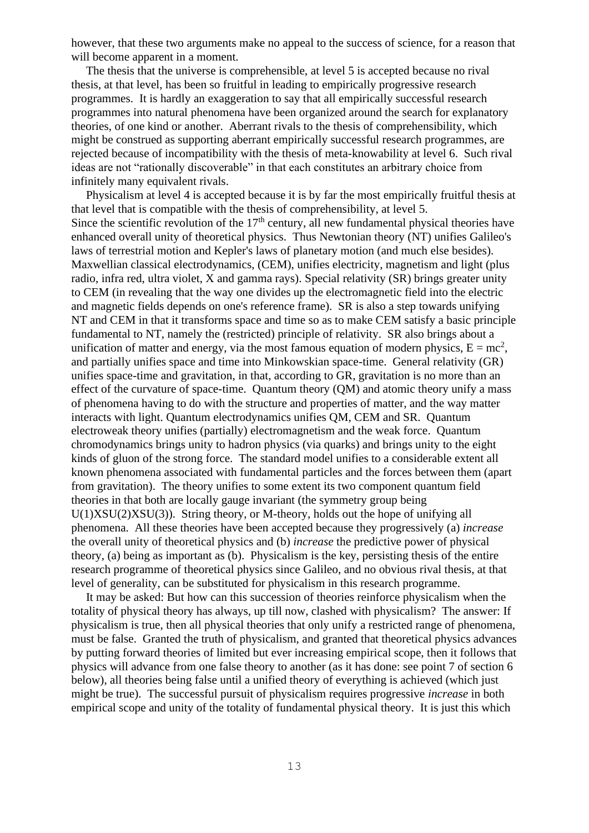however, that these two arguments make no appeal to the success of science, for a reason that will become apparent in a moment.

 The thesis that the universe is comprehensible, at level 5 is accepted because no rival thesis, at that level, has been so fruitful in leading to empirically progressive research programmes. It is hardly an exaggeration to say that all empirically successful research programmes into natural phenomena have been organized around the search for explanatory theories, of one kind or another. Aberrant rivals to the thesis of comprehensibility, which might be construed as supporting aberrant empirically successful research programmes, are rejected because of incompatibility with the thesis of meta-knowability at level 6. Such rival ideas are not "rationally discoverable" in that each constitutes an arbitrary choice from infinitely many equivalent rivals.

 Physicalism at level 4 is accepted because it is by far the most empirically fruitful thesis at that level that is compatible with the thesis of comprehensibility, at level 5. Since the scientific revolution of the  $17<sup>th</sup>$  century, all new fundamental physical theories have enhanced overall unity of theoretical physics. Thus Newtonian theory (NT) unifies Galileo's laws of terrestrial motion and Kepler's laws of planetary motion (and much else besides). Maxwellian classical electrodynamics, (CEM), unifies electricity, magnetism and light (plus radio, infra red, ultra violet, X and gamma rays). Special relativity (SR) brings greater unity to CEM (in revealing that the way one divides up the electromagnetic field into the electric and magnetic fields depends on one's reference frame). SR is also a step towards unifying NT and CEM in that it transforms space and time so as to make CEM satisfy a basic principle fundamental to NT, namely the (restricted) principle of relativity. SR also brings about a unification of matter and energy, via the most famous equation of modern physics,  $E = mc^2$ , and partially unifies space and time into Minkowskian space-time. General relativity (GR) unifies space-time and gravitation, in that, according to GR, gravitation is no more than an effect of the curvature of space-time. Quantum theory (QM) and atomic theory unify a mass of phenomena having to do with the structure and properties of matter, and the way matter interacts with light. Quantum electrodynamics unifies QM, CEM and SR. Quantum electroweak theory unifies (partially) electromagnetism and the weak force. Quantum chromodynamics brings unity to hadron physics (via quarks) and brings unity to the eight kinds of gluon of the strong force. The standard model unifies to a considerable extent all known phenomena associated with fundamental particles and the forces between them (apart from gravitation). The theory unifies to some extent its two component quantum field theories in that both are locally gauge invariant (the symmetry group being  $U(1)XSU(2)XSU(3)$ . String theory, or M-theory, holds out the hope of unifying all phenomena. All these theories have been accepted because they progressively (a) *increase* the overall unity of theoretical physics and (b) *increase* the predictive power of physical theory, (a) being as important as (b). Physicalism is the key, persisting thesis of the entire research programme of theoretical physics since Galileo, and no obvious rival thesis, at that level of generality, can be substituted for physicalism in this research programme.

 It may be asked: But how can this succession of theories reinforce physicalism when the totality of physical theory has always, up till now, clashed with physicalism? The answer: If physicalism is true, then all physical theories that only unify a restricted range of phenomena, must be false. Granted the truth of physicalism, and granted that theoretical physics advances by putting forward theories of limited but ever increasing empirical scope, then it follows that physics will advance from one false theory to another (as it has done: see point 7 of section 6 below), all theories being false until a unified theory of everything is achieved (which just might be true). The successful pursuit of physicalism requires progressive *increase* in both empirical scope and unity of the totality of fundamental physical theory. It is just this which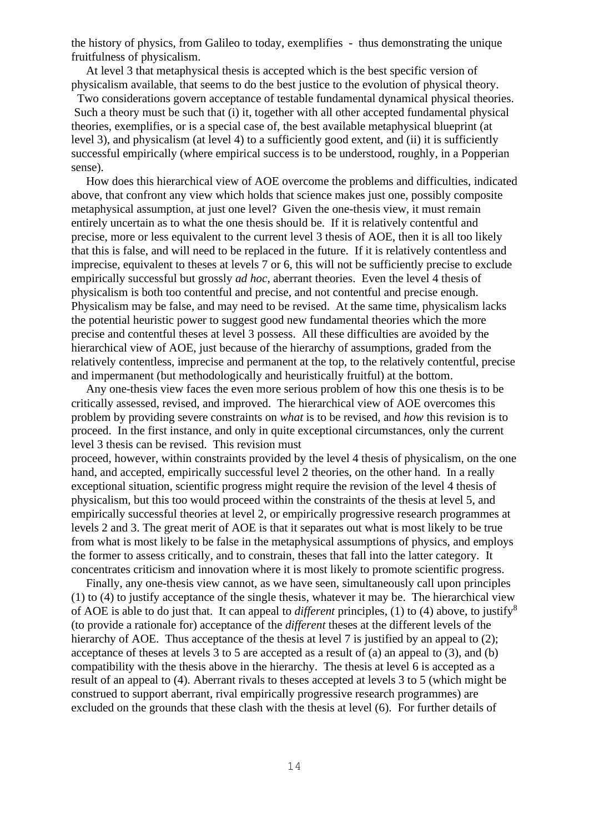the history of physics, from Galileo to today, exemplifies - thus demonstrating the unique fruitfulness of physicalism.

 At level 3 that metaphysical thesis is accepted which is the best specific version of physicalism available, that seems to do the best justice to the evolution of physical theory.

 Two considerations govern acceptance of testable fundamental dynamical physical theories. Such a theory must be such that (i) it, together with all other accepted fundamental physical theories, exemplifies, or is a special case of, the best available metaphysical blueprint (at level 3), and physicalism (at level 4) to a sufficiently good extent, and (ii) it is sufficiently successful empirically (where empirical success is to be understood, roughly, in a Popperian sense).

 How does this hierarchical view of AOE overcome the problems and difficulties, indicated above, that confront any view which holds that science makes just one, possibly composite metaphysical assumption, at just one level? Given the one-thesis view, it must remain entirely uncertain as to what the one thesis should be. If it is relatively contentful and precise, more or less equivalent to the current level 3 thesis of AOE, then it is all too likely that this is false, and will need to be replaced in the future. If it is relatively contentless and imprecise, equivalent to theses at levels 7 or 6, this will not be sufficiently precise to exclude empirically successful but grossly *ad hoc*, aberrant theories. Even the level 4 thesis of physicalism is both too contentful and precise, and not contentful and precise enough. Physicalism may be false, and may need to be revised. At the same time, physicalism lacks the potential heuristic power to suggest good new fundamental theories which the more precise and contentful theses at level 3 possess. All these difficulties are avoided by the hierarchical view of AOE, just because of the hierarchy of assumptions, graded from the relatively contentless, imprecise and permanent at the top, to the relatively contentful, precise and impermanent (but methodologically and heuristically fruitful) at the bottom.

 Any one-thesis view faces the even more serious problem of how this one thesis is to be critically assessed, revised, and improved. The hierarchical view of AOE overcomes this problem by providing severe constraints on *what* is to be revised, and *how* this revision is to proceed. In the first instance, and only in quite exceptional circumstances, only the current level 3 thesis can be revised. This revision must

proceed, however, within constraints provided by the level 4 thesis of physicalism, on the one hand, and accepted, empirically successful level 2 theories, on the other hand. In a really exceptional situation, scientific progress might require the revision of the level 4 thesis of physicalism, but this too would proceed within the constraints of the thesis at level 5, and empirically successful theories at level 2, or empirically progressive research programmes at levels 2 and 3. The great merit of AOE is that it separates out what is most likely to be true from what is most likely to be false in the metaphysical assumptions of physics, and employs the former to assess critically, and to constrain, theses that fall into the latter category. It concentrates criticism and innovation where it is most likely to promote scientific progress.

 Finally, any one-thesis view cannot, as we have seen, simultaneously call upon principles (1) to (4) to justify acceptance of the single thesis, whatever it may be. The hierarchical view of AOE is able to do just that. It can appeal to *different* principles, (1) to (4) above, to justify<sup>8</sup> (to provide a rationale for) acceptance of the *different* theses at the different levels of the hierarchy of AOE. Thus acceptance of the thesis at level 7 is justified by an appeal to (2); acceptance of theses at levels 3 to 5 are accepted as a result of (a) an appeal to (3), and (b) compatibility with the thesis above in the hierarchy. The thesis at level 6 is accepted as a result of an appeal to (4). Aberrant rivals to theses accepted at levels 3 to 5 (which might be construed to support aberrant, rival empirically progressive research programmes) are excluded on the grounds that these clash with the thesis at level (6). For further details of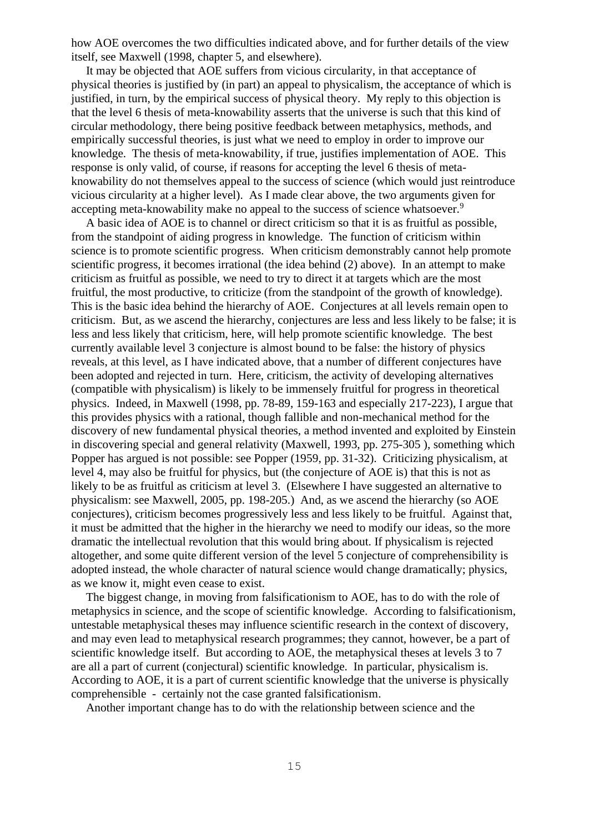how AOE overcomes the two difficulties indicated above, and for further details of the view itself, see Maxwell (1998, chapter 5, and elsewhere).

 It may be objected that AOE suffers from vicious circularity, in that acceptance of physical theories is justified by (in part) an appeal to physicalism, the acceptance of which is justified, in turn, by the empirical success of physical theory. My reply to this objection is that the level 6 thesis of meta-knowability asserts that the universe is such that this kind of circular methodology, there being positive feedback between metaphysics, methods, and empirically successful theories, is just what we need to employ in order to improve our knowledge. The thesis of meta-knowability, if true, justifies implementation of AOE. This response is only valid, of course, if reasons for accepting the level 6 thesis of metaknowability do not themselves appeal to the success of science (which would just reintroduce vicious circularity at a higher level). As I made clear above, the two arguments given for accepting meta-knowability make no appeal to the success of science whatsoever.<sup>9</sup>

 A basic idea of AOE is to channel or direct criticism so that it is as fruitful as possible, from the standpoint of aiding progress in knowledge. The function of criticism within science is to promote scientific progress. When criticism demonstrably cannot help promote scientific progress, it becomes irrational (the idea behind (2) above). In an attempt to make criticism as fruitful as possible, we need to try to direct it at targets which are the most fruitful, the most productive, to criticize (from the standpoint of the growth of knowledge). This is the basic idea behind the hierarchy of AOE. Conjectures at all levels remain open to criticism. But, as we ascend the hierarchy, conjectures are less and less likely to be false; it is less and less likely that criticism, here, will help promote scientific knowledge. The best currently available level 3 conjecture is almost bound to be false: the history of physics reveals, at this level, as I have indicated above, that a number of different conjectures have been adopted and rejected in turn. Here, criticism, the activity of developing alternatives (compatible with physicalism) is likely to be immensely fruitful for progress in theoretical physics. Indeed, in Maxwell (1998, pp. 78-89, 159-163 and especially 217-223), I argue that this provides physics with a rational, though fallible and non-mechanical method for the discovery of new fundamental physical theories, a method invented and exploited by Einstein in discovering special and general relativity (Maxwell, 1993, pp. 275-305 ), something which Popper has argued is not possible: see Popper (1959, pp. 31-32). Criticizing physicalism, at level 4, may also be fruitful for physics, but (the conjecture of AOE is) that this is not as likely to be as fruitful as criticism at level 3. (Elsewhere I have suggested an alternative to physicalism: see Maxwell, 2005, pp. 198-205.) And, as we ascend the hierarchy (so AOE conjectures), criticism becomes progressively less and less likely to be fruitful. Against that, it must be admitted that the higher in the hierarchy we need to modify our ideas, so the more dramatic the intellectual revolution that this would bring about. If physicalism is rejected altogether, and some quite different version of the level 5 conjecture of comprehensibility is adopted instead, the whole character of natural science would change dramatically; physics, as we know it, might even cease to exist.

 The biggest change, in moving from falsificationism to AOE, has to do with the role of metaphysics in science, and the scope of scientific knowledge. According to falsificationism, untestable metaphysical theses may influence scientific research in the context of discovery, and may even lead to metaphysical research programmes; they cannot, however, be a part of scientific knowledge itself. But according to AOE, the metaphysical theses at levels 3 to 7 are all a part of current (conjectural) scientific knowledge. In particular, physicalism is. According to AOE, it is a part of current scientific knowledge that the universe is physically comprehensible - certainly not the case granted falsificationism.

Another important change has to do with the relationship between science and the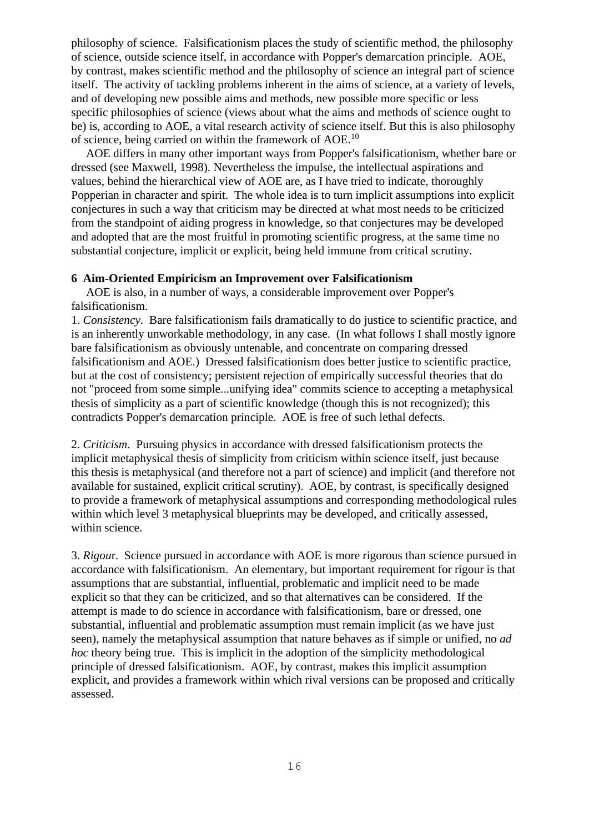philosophy of science. Falsificationism places the study of scientific method, the philosophy of science, outside science itself, in accordance with Popper's demarcation principle. AOE, by contrast, makes scientific method and the philosophy of science an integral part of science itself. The activity of tackling problems inherent in the aims of science, at a variety of levels, and of developing new possible aims and methods, new possible more specific or less specific philosophies of science (views about what the aims and methods of science ought to be) is, according to AOE, a vital research activity of science itself. But this is also philosophy of science, being carried on within the framework of AOE.<sup>10</sup>

 AOE differs in many other important ways from Popper's falsificationism, whether bare or dressed (see Maxwell, 1998). Nevertheless the impulse, the intellectual aspirations and values, behind the hierarchical view of AOE are, as I have tried to indicate, thoroughly Popperian in character and spirit. The whole idea is to turn implicit assumptions into explicit conjectures in such a way that criticism may be directed at what most needs to be criticized from the standpoint of aiding progress in knowledge, so that conjectures may be developed and adopted that are the most fruitful in promoting scientific progress, at the same time no substantial conjecture, implicit or explicit, being held immune from critical scrutiny.

# **6 Aim-Oriented Empiricism an Improvement over Falsificationism**

 AOE is also, in a number of ways, a considerable improvement over Popper's falsificationism.

1. *Consistency*. Bare falsificationism fails dramatically to do justice to scientific practice, and is an inherently unworkable methodology, in any case. (In what follows I shall mostly ignore bare falsificationism as obviously untenable, and concentrate on comparing dressed falsificationism and AOE.) Dressed falsificationism does better justice to scientific practice, but at the cost of consistency; persistent rejection of empirically successful theories that do not "proceed from some simple...unifying idea" commits science to accepting a metaphysical thesis of simplicity as a part of scientific knowledge (though this is not recognized); this contradicts Popper's demarcation principle. AOE is free of such lethal defects.

2. *Criticism*. Pursuing physics in accordance with dressed falsificationism protects the implicit metaphysical thesis of simplicity from criticism within science itself, just because this thesis is metaphysical (and therefore not a part of science) and implicit (and therefore not available for sustained, explicit critical scrutiny). AOE, by contrast, is specifically designed to provide a framework of metaphysical assumptions and corresponding methodological rules within which level 3 metaphysical blueprints may be developed, and critically assessed, within science.

3. *Rigou*r. Science pursued in accordance with AOE is more rigorous than science pursued in accordance with falsificationism. An elementary, but important requirement for rigour is that assumptions that are substantial, influential, problematic and implicit need to be made explicit so that they can be criticized, and so that alternatives can be considered. If the attempt is made to do science in accordance with falsificationism, bare or dressed, one substantial, influential and problematic assumption must remain implicit (as we have just seen), namely the metaphysical assumption that nature behaves as if simple or unified, no *ad hoc* theory being true. This is implicit in the adoption of the simplicity methodological principle of dressed falsificationism. AOE, by contrast, makes this implicit assumption explicit, and provides a framework within which rival versions can be proposed and critically assessed.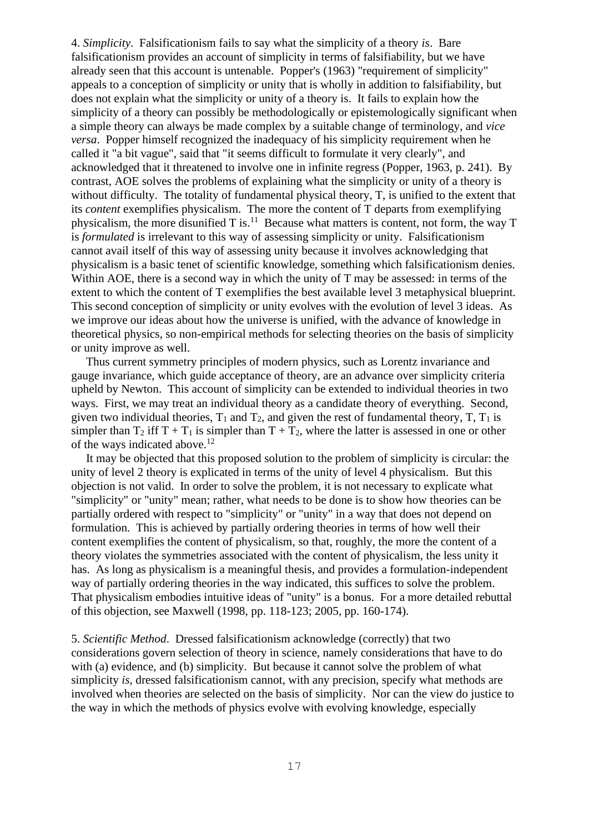4. *Simplicity*. Falsificationism fails to say what the simplicity of a theory *is*. Bare falsificationism provides an account of simplicity in terms of falsifiability, but we have already seen that this account is untenable. Popper's (1963) "requirement of simplicity" appeals to a conception of simplicity or unity that is wholly in addition to falsifiability, but does not explain what the simplicity or unity of a theory is. It fails to explain how the simplicity of a theory can possibly be methodologically or epistemologically significant when a simple theory can always be made complex by a suitable change of terminology, and *vice versa*. Popper himself recognized the inadequacy of his simplicity requirement when he called it "a bit vague", said that "it seems difficult to formulate it very clearly", and acknowledged that it threatened to involve one in infinite regress (Popper, 1963, p. 241). By contrast, AOE solves the problems of explaining what the simplicity or unity of a theory is without difficulty. The totality of fundamental physical theory, T, is unified to the extent that its *content* exemplifies physicalism. The more the content of T departs from exemplifying physicalism, the more disunified  $T$  is.<sup>11</sup> Because what matters is content, not form, the way  $T$ is *formulated* is irrelevant to this way of assessing simplicity or unity. Falsificationism cannot avail itself of this way of assessing unity because it involves acknowledging that physicalism is a basic tenet of scientific knowledge, something which falsificationism denies. Within AOE, there is a second way in which the unity of T may be assessed: in terms of the extent to which the content of T exemplifies the best available level 3 metaphysical blueprint. This second conception of simplicity or unity evolves with the evolution of level 3 ideas. As we improve our ideas about how the universe is unified, with the advance of knowledge in theoretical physics, so non-empirical methods for selecting theories on the basis of simplicity or unity improve as well.

 Thus current symmetry principles of modern physics, such as Lorentz invariance and gauge invariance, which guide acceptance of theory, are an advance over simplicity criteria upheld by Newton. This account of simplicity can be extended to individual theories in two ways. First, we may treat an individual theory as a candidate theory of everything. Second, given two individual theories,  $T_1$  and  $T_2$ , and given the rest of fundamental theory, T,  $T_1$  is simpler than  $T_2$  iff  $T + T_1$  is simpler than  $T + T_2$ , where the latter is assessed in one or other of the ways indicated above.<sup>12</sup>

 It may be objected that this proposed solution to the problem of simplicity is circular: the unity of level 2 theory is explicated in terms of the unity of level 4 physicalism. But this objection is not valid. In order to solve the problem, it is not necessary to explicate what "simplicity" or "unity" mean; rather, what needs to be done is to show how theories can be partially ordered with respect to "simplicity" or "unity" in a way that does not depend on formulation. This is achieved by partially ordering theories in terms of how well their content exemplifies the content of physicalism, so that, roughly, the more the content of a theory violates the symmetries associated with the content of physicalism, the less unity it has. As long as physicalism is a meaningful thesis, and provides a formulation-independent way of partially ordering theories in the way indicated, this suffices to solve the problem. That physicalism embodies intuitive ideas of "unity" is a bonus. For a more detailed rebuttal of this objection, see Maxwell (1998, pp. 118-123; 2005, pp. 160-174).

5. *Scientific Method*. Dressed falsificationism acknowledge (correctly) that two considerations govern selection of theory in science, namely considerations that have to do with (a) evidence, and (b) simplicity. But because it cannot solve the problem of what simplicity *is*, dressed falsificationism cannot, with any precision, specify what methods are involved when theories are selected on the basis of simplicity. Nor can the view do justice to the way in which the methods of physics evolve with evolving knowledge, especially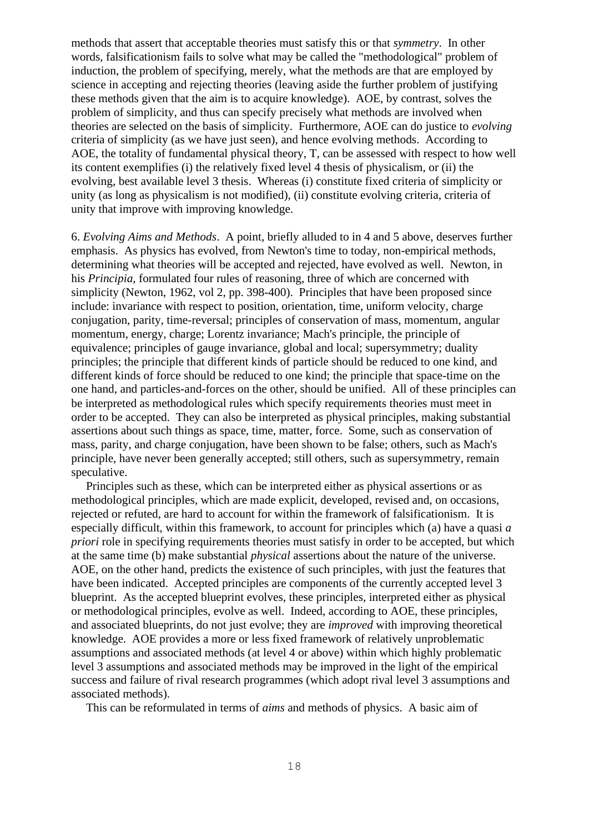methods that assert that acceptable theories must satisfy this or that *symmetry*. In other words, falsificationism fails to solve what may be called the "methodological" problem of induction, the problem of specifying, merely, what the methods are that are employed by science in accepting and rejecting theories (leaving aside the further problem of justifying these methods given that the aim is to acquire knowledge). AOE, by contrast, solves the problem of simplicity, and thus can specify precisely what methods are involved when theories are selected on the basis of simplicity. Furthermore, AOE can do justice to *evolving* criteria of simplicity (as we have just seen), and hence evolving methods. According to AOE, the totality of fundamental physical theory, T, can be assessed with respect to how well its content exemplifies (i) the relatively fixed level 4 thesis of physicalism, or (ii) the evolving, best available level 3 thesis. Whereas (i) constitute fixed criteria of simplicity or unity (as long as physicalism is not modified), (ii) constitute evolving criteria, criteria of unity that improve with improving knowledge.

6. *Evolving Aims and Methods*. A point, briefly alluded to in 4 and 5 above, deserves further emphasis. As physics has evolved, from Newton's time to today, non-empirical methods, determining what theories will be accepted and rejected, have evolved as well. Newton, in his *Principia*, formulated four rules of reasoning, three of which are concerned with simplicity (Newton, 1962, vol 2, pp. 398-400). Principles that have been proposed since include: invariance with respect to position, orientation, time, uniform velocity, charge conjugation, parity, time-reversal; principles of conservation of mass, momentum, angular momentum, energy, charge; Lorentz invariance; Mach's principle, the principle of equivalence; principles of gauge invariance, global and local; supersymmetry; duality principles; the principle that different kinds of particle should be reduced to one kind, and different kinds of force should be reduced to one kind; the principle that space-time on the one hand, and particles-and-forces on the other, should be unified. All of these principles can be interpreted as methodological rules which specify requirements theories must meet in order to be accepted. They can also be interpreted as physical principles, making substantial assertions about such things as space, time, matter, force. Some, such as conservation of mass, parity, and charge conjugation, have been shown to be false; others, such as Mach's principle, have never been generally accepted; still others, such as supersymmetry, remain speculative.

 Principles such as these, which can be interpreted either as physical assertions or as methodological principles, which are made explicit, developed, revised and, on occasions, rejected or refuted, are hard to account for within the framework of falsificationism. It is especially difficult, within this framework, to account for principles which (a) have a quasi *a priori* role in specifying requirements theories must satisfy in order to be accepted, but which at the same time (b) make substantial *physical* assertions about the nature of the universe. AOE, on the other hand, predicts the existence of such principles, with just the features that have been indicated. Accepted principles are components of the currently accepted level 3 blueprint. As the accepted blueprint evolves, these principles, interpreted either as physical or methodological principles, evolve as well. Indeed, according to AOE, these principles, and associated blueprints, do not just evolve; they are *improved* with improving theoretical knowledge. AOE provides a more or less fixed framework of relatively unproblematic assumptions and associated methods (at level 4 or above) within which highly problematic level 3 assumptions and associated methods may be improved in the light of the empirical success and failure of rival research programmes (which adopt rival level 3 assumptions and associated methods).

This can be reformulated in terms of *aims* and methods of physics. A basic aim of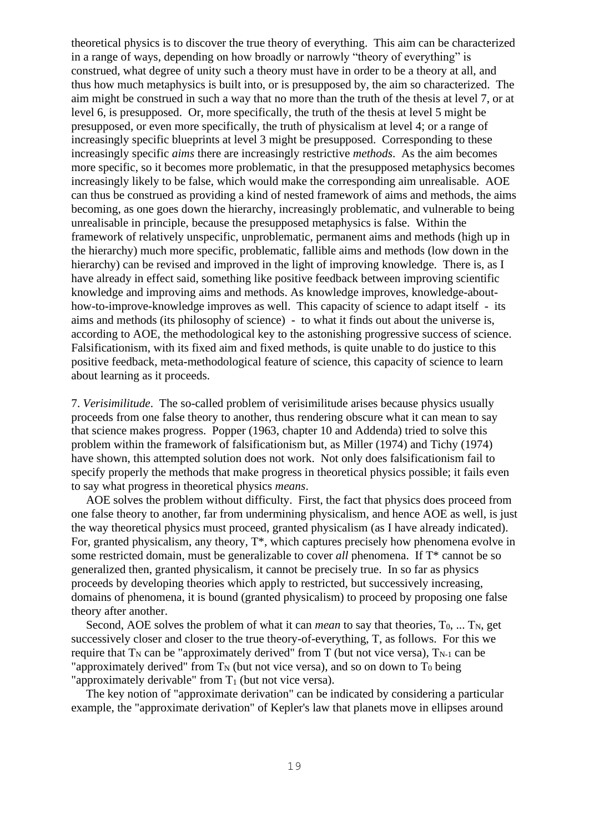theoretical physics is to discover the true theory of everything. This aim can be characterized in a range of ways, depending on how broadly or narrowly "theory of everything" is construed, what degree of unity such a theory must have in order to be a theory at all, and thus how much metaphysics is built into, or is presupposed by, the aim so characterized. The aim might be construed in such a way that no more than the truth of the thesis at level 7, or at level 6, is presupposed. Or, more specifically, the truth of the thesis at level 5 might be presupposed, or even more specifically, the truth of physicalism at level 4; or a range of increasingly specific blueprints at level 3 might be presupposed. Corresponding to these increasingly specific *aims* there are increasingly restrictive *methods*. As the aim becomes more specific, so it becomes more problematic, in that the presupposed metaphysics becomes increasingly likely to be false, which would make the corresponding aim unrealisable. AOE can thus be construed as providing a kind of nested framework of aims and methods, the aims becoming, as one goes down the hierarchy, increasingly problematic, and vulnerable to being unrealisable in principle, because the presupposed metaphysics is false. Within the framework of relatively unspecific, unproblematic, permanent aims and methods (high up in the hierarchy) much more specific, problematic, fallible aims and methods (low down in the hierarchy) can be revised and improved in the light of improving knowledge. There is, as I have already in effect said, something like positive feedback between improving scientific knowledge and improving aims and methods. As knowledge improves, knowledge-abouthow-to-improve-knowledge improves as well. This capacity of science to adapt itself - its aims and methods (its philosophy of science) - to what it finds out about the universe is, according to AOE, the methodological key to the astonishing progressive success of science. Falsificationism, with its fixed aim and fixed methods, is quite unable to do justice to this positive feedback, meta-methodological feature of science, this capacity of science to learn about learning as it proceeds.

7. *Verisimilitude*. The so-called problem of verisimilitude arises because physics usually proceeds from one false theory to another, thus rendering obscure what it can mean to say that science makes progress. Popper (1963, chapter 10 and Addenda) tried to solve this problem within the framework of falsificationism but, as Miller (1974) and Tichy (1974) have shown, this attempted solution does not work. Not only does falsificationism fail to specify properly the methods that make progress in theoretical physics possible; it fails even to say what progress in theoretical physics *means*.

 AOE solves the problem without difficulty. First, the fact that physics does proceed from one false theory to another, far from undermining physicalism, and hence AOE as well, is just the way theoretical physics must proceed, granted physicalism (as I have already indicated). For, granted physicalism, any theory, T\*, which captures precisely how phenomena evolve in some restricted domain, must be generalizable to cover *all* phenomena. If T\* cannot be so generalized then, granted physicalism, it cannot be precisely true. In so far as physics proceeds by developing theories which apply to restricted, but successively increasing, domains of phenomena, it is bound (granted physicalism) to proceed by proposing one false theory after another.

Second, AOE solves the problem of what it can *mean* to say that theories,  $T_0$ , ...  $T_N$ , get successively closer and closer to the true theory-of-everything, T, as follows. For this we require that  $T_N$  can be "approximately derived" from T (but not vice versa),  $T_{N-1}$  can be "approximately derived" from  $T_N$  (but not vice versa), and so on down to  $T_0$  being "approximately derivable" from  $T_1$  (but not vice versa).

 The key notion of "approximate derivation" can be indicated by considering a particular example, the "approximate derivation" of Kepler's law that planets move in ellipses around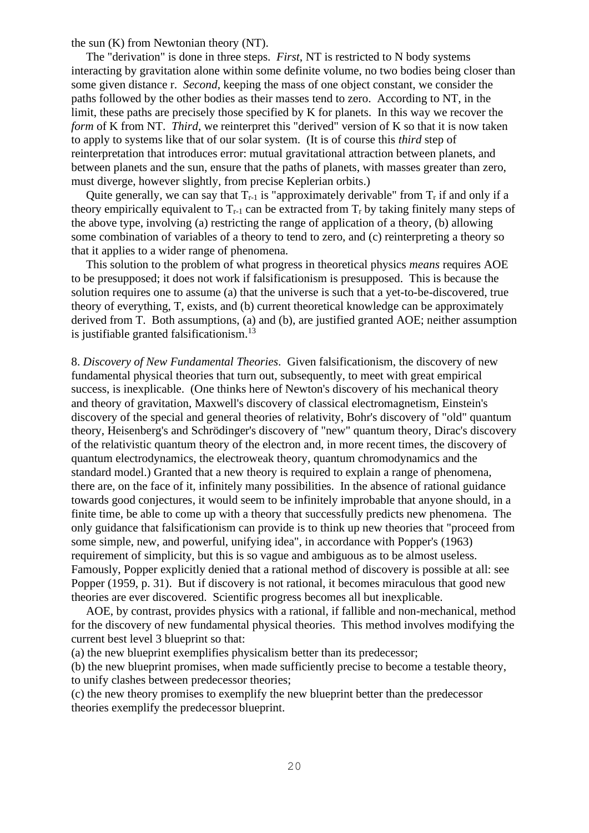the sun (K) from Newtonian theory (NT).

 The "derivation" is done in three steps. *First*, NT is restricted to N body systems interacting by gravitation alone within some definite volume, no two bodies being closer than some given distance r. *Second*, keeping the mass of one object constant, we consider the paths followed by the other bodies as their masses tend to zero. According to NT, in the limit, these paths are precisely those specified by K for planets. In this way we recover the *form* of K from NT. *Third*, we reinterpret this "derived" version of K so that it is now taken to apply to systems like that of our solar system. (It is of course this *third* step of reinterpretation that introduces error: mutual gravitational attraction between planets, and between planets and the sun, ensure that the paths of planets, with masses greater than zero, must diverge, however slightly, from precise Keplerian orbits.)

Quite generally, we can say that  $T_{r-1}$  is "approximately derivable" from  $T_r$  if and only if a theory empirically equivalent to  $T_{r-1}$  can be extracted from  $T_r$  by taking finitely many steps of the above type, involving (a) restricting the range of application of a theory, (b) allowing some combination of variables of a theory to tend to zero, and (c) reinterpreting a theory so that it applies to a wider range of phenomena.

 This solution to the problem of what progress in theoretical physics *means* requires AOE to be presupposed; it does not work if falsificationism is presupposed. This is because the solution requires one to assume (a) that the universe is such that a yet-to-be-discovered, true theory of everything, T, exists, and (b) current theoretical knowledge can be approximately derived from T. Both assumptions, (a) and (b), are justified granted AOE; neither assumption is justifiable granted falsificationism.<sup>13</sup>

8. *Discovery of New Fundamental Theories*. Given falsificationism, the discovery of new fundamental physical theories that turn out, subsequently, to meet with great empirical success, is inexplicable. (One thinks here of Newton's discovery of his mechanical theory and theory of gravitation, Maxwell's discovery of classical electromagnetism, Einstein's discovery of the special and general theories of relativity, Bohr's discovery of "old" quantum theory, Heisenberg's and Schrödinger's discovery of "new" quantum theory, Dirac's discovery of the relativistic quantum theory of the electron and, in more recent times, the discovery of quantum electrodynamics, the electroweak theory, quantum chromodynamics and the standard model.) Granted that a new theory is required to explain a range of phenomena, there are, on the face of it, infinitely many possibilities. In the absence of rational guidance towards good conjectures, it would seem to be infinitely improbable that anyone should, in a finite time, be able to come up with a theory that successfully predicts new phenomena. The only guidance that falsificationism can provide is to think up new theories that "proceed from some simple, new, and powerful, unifying idea", in accordance with Popper's (1963) requirement of simplicity, but this is so vague and ambiguous as to be almost useless. Famously, Popper explicitly denied that a rational method of discovery is possible at all: see Popper (1959, p. 31). But if discovery is not rational, it becomes miraculous that good new theories are ever discovered. Scientific progress becomes all but inexplicable.

 AOE, by contrast, provides physics with a rational, if fallible and non-mechanical, method for the discovery of new fundamental physical theories. This method involves modifying the current best level 3 blueprint so that:

(a) the new blueprint exemplifies physicalism better than its predecessor;

(b) the new blueprint promises, when made sufficiently precise to become a testable theory, to unify clashes between predecessor theories;

(c) the new theory promises to exemplify the new blueprint better than the predecessor theories exemplify the predecessor blueprint.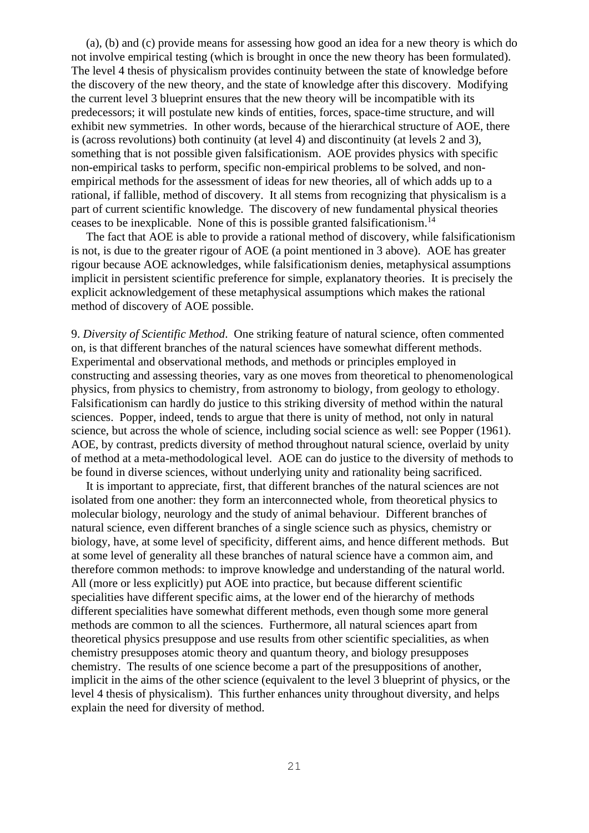(a), (b) and (c) provide means for assessing how good an idea for a new theory is which do not involve empirical testing (which is brought in once the new theory has been formulated). The level 4 thesis of physicalism provides continuity between the state of knowledge before the discovery of the new theory, and the state of knowledge after this discovery. Modifying the current level 3 blueprint ensures that the new theory will be incompatible with its predecessors; it will postulate new kinds of entities, forces, space-time structure, and will exhibit new symmetries. In other words, because of the hierarchical structure of AOE, there is (across revolutions) both continuity (at level 4) and discontinuity (at levels 2 and 3), something that is not possible given falsificationism. AOE provides physics with specific non-empirical tasks to perform, specific non-empirical problems to be solved, and nonempirical methods for the assessment of ideas for new theories, all of which adds up to a rational, if fallible, method of discovery. It all stems from recognizing that physicalism is a part of current scientific knowledge. The discovery of new fundamental physical theories ceases to be inexplicable. None of this is possible granted falsificationism.<sup>14</sup>

 The fact that AOE is able to provide a rational method of discovery, while falsificationism is not, is due to the greater rigour of AOE (a point mentioned in 3 above). AOE has greater rigour because AOE acknowledges, while falsificationism denies, metaphysical assumptions implicit in persistent scientific preference for simple, explanatory theories. It is precisely the explicit acknowledgement of these metaphysical assumptions which makes the rational method of discovery of AOE possible.

9. *Diversity of Scientific Method*. One striking feature of natural science, often commented on, is that different branches of the natural sciences have somewhat different methods. Experimental and observational methods, and methods or principles employed in constructing and assessing theories, vary as one moves from theoretical to phenomenological physics, from physics to chemistry, from astronomy to biology, from geology to ethology. Falsificationism can hardly do justice to this striking diversity of method within the natural sciences. Popper, indeed, tends to argue that there is unity of method, not only in natural science, but across the whole of science, including social science as well: see Popper (1961). AOE, by contrast, predicts diversity of method throughout natural science, overlaid by unity of method at a meta-methodological level. AOE can do justice to the diversity of methods to be found in diverse sciences, without underlying unity and rationality being sacrificed.

 It is important to appreciate, first, that different branches of the natural sciences are not isolated from one another: they form an interconnected whole, from theoretical physics to molecular biology, neurology and the study of animal behaviour. Different branches of natural science, even different branches of a single science such as physics, chemistry or biology, have, at some level of specificity, different aims, and hence different methods. But at some level of generality all these branches of natural science have a common aim, and therefore common methods: to improve knowledge and understanding of the natural world. All (more or less explicitly) put AOE into practice, but because different scientific specialities have different specific aims, at the lower end of the hierarchy of methods different specialities have somewhat different methods, even though some more general methods are common to all the sciences. Furthermore, all natural sciences apart from theoretical physics presuppose and use results from other scientific specialities, as when chemistry presupposes atomic theory and quantum theory, and biology presupposes chemistry. The results of one science become a part of the presuppositions of another, implicit in the aims of the other science (equivalent to the level 3 blueprint of physics, or the level 4 thesis of physicalism). This further enhances unity throughout diversity, and helps explain the need for diversity of method.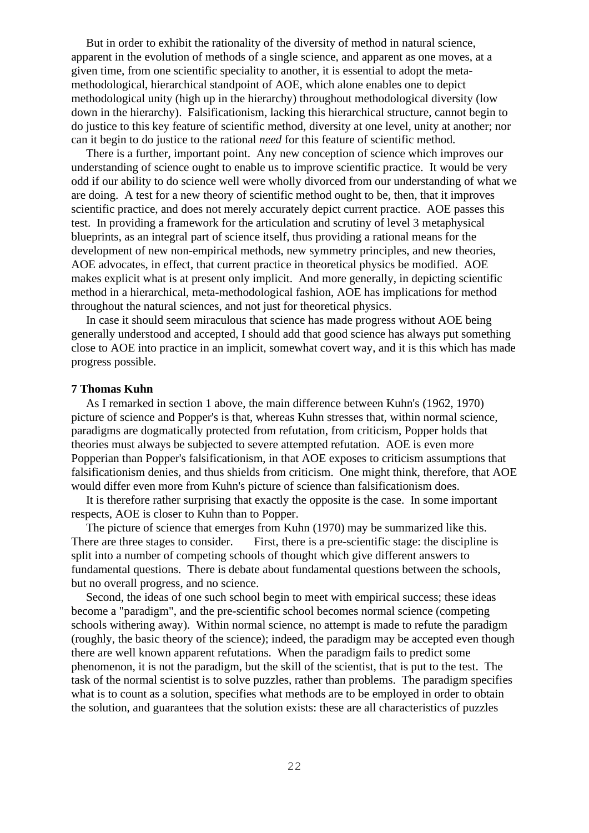But in order to exhibit the rationality of the diversity of method in natural science, apparent in the evolution of methods of a single science, and apparent as one moves, at a given time, from one scientific speciality to another, it is essential to adopt the metamethodological, hierarchical standpoint of AOE, which alone enables one to depict methodological unity (high up in the hierarchy) throughout methodological diversity (low down in the hierarchy). Falsificationism, lacking this hierarchical structure, cannot begin to do justice to this key feature of scientific method, diversity at one level, unity at another; nor can it begin to do justice to the rational *need* for this feature of scientific method.

 There is a further, important point. Any new conception of science which improves our understanding of science ought to enable us to improve scientific practice. It would be very odd if our ability to do science well were wholly divorced from our understanding of what we are doing. A test for a new theory of scientific method ought to be, then, that it improves scientific practice, and does not merely accurately depict current practice. AOE passes this test. In providing a framework for the articulation and scrutiny of level 3 metaphysical blueprints, as an integral part of science itself, thus providing a rational means for the development of new non-empirical methods, new symmetry principles, and new theories, AOE advocates, in effect, that current practice in theoretical physics be modified. AOE makes explicit what is at present only implicit. And more generally, in depicting scientific method in a hierarchical, meta-methodological fashion, AOE has implications for method throughout the natural sciences, and not just for theoretical physics.

 In case it should seem miraculous that science has made progress without AOE being generally understood and accepted, I should add that good science has always put something close to AOE into practice in an implicit, somewhat covert way, and it is this which has made progress possible.

### **7 Thomas Kuhn**

 As I remarked in section 1 above, the main difference between Kuhn's (1962, 1970) picture of science and Popper's is that, whereas Kuhn stresses that, within normal science, paradigms are dogmatically protected from refutation, from criticism, Popper holds that theories must always be subjected to severe attempted refutation. AOE is even more Popperian than Popper's falsificationism, in that AOE exposes to criticism assumptions that falsificationism denies, and thus shields from criticism. One might think, therefore, that AOE would differ even more from Kuhn's picture of science than falsificationism does.

 It is therefore rather surprising that exactly the opposite is the case. In some important respects, AOE is closer to Kuhn than to Popper.

 The picture of science that emerges from Kuhn (1970) may be summarized like this. There are three stages to consider. First, there is a pre-scientific stage: the discipline is split into a number of competing schools of thought which give different answers to fundamental questions. There is debate about fundamental questions between the schools, but no overall progress, and no science.

 Second, the ideas of one such school begin to meet with empirical success; these ideas become a "paradigm", and the pre-scientific school becomes normal science (competing schools withering away). Within normal science, no attempt is made to refute the paradigm (roughly, the basic theory of the science); indeed, the paradigm may be accepted even though there are well known apparent refutations. When the paradigm fails to predict some phenomenon, it is not the paradigm, but the skill of the scientist, that is put to the test. The task of the normal scientist is to solve puzzles, rather than problems. The paradigm specifies what is to count as a solution, specifies what methods are to be employed in order to obtain the solution, and guarantees that the solution exists: these are all characteristics of puzzles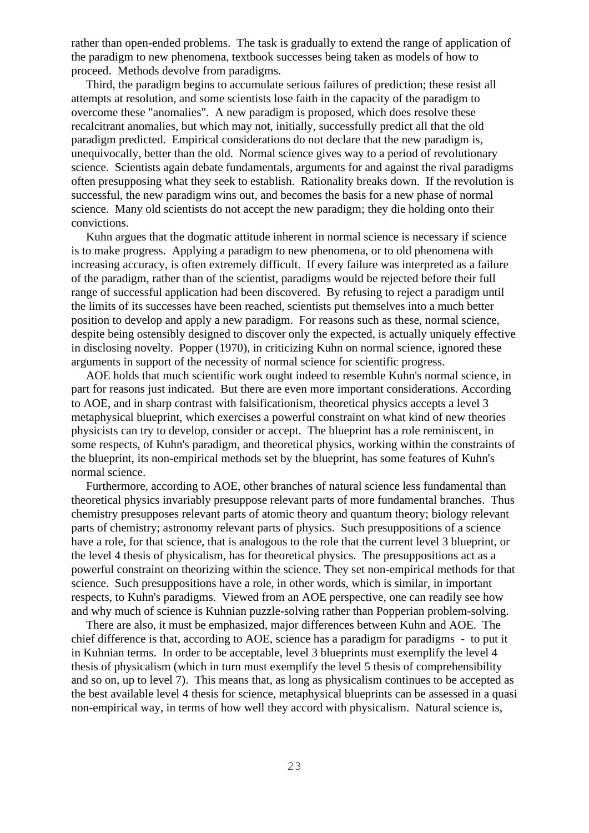rather than open-ended problems. The task is gradually to extend the range of application of the paradigm to new phenomena, textbook successes being taken as models of how to proceed. Methods devolve from paradigms.

 Third, the paradigm begins to accumulate serious failures of prediction; these resist all attempts at resolution, and some scientists lose faith in the capacity of the paradigm to overcome these "anomalies". A new paradigm is proposed, which does resolve these recalcitrant anomalies, but which may not, initially, successfully predict all that the old paradigm predicted. Empirical considerations do not declare that the new paradigm is, unequivocally, better than the old. Normal science gives way to a period of revolutionary science. Scientists again debate fundamentals, arguments for and against the rival paradigms often presupposing what they seek to establish. Rationality breaks down. If the revolution is successful, the new paradigm wins out, and becomes the basis for a new phase of normal science. Many old scientists do not accept the new paradigm; they die holding onto their convictions.

 Kuhn argues that the dogmatic attitude inherent in normal science is necessary if science is to make progress. Applying a paradigm to new phenomena, or to old phenomena with increasing accuracy, is often extremely difficult. If every failure was interpreted as a failure of the paradigm, rather than of the scientist, paradigms would be rejected before their full range of successful application had been discovered. By refusing to reject a paradigm until the limits of its successes have been reached, scientists put themselves into a much better position to develop and apply a new paradigm. For reasons such as these, normal science, despite being ostensibly designed to discover only the expected, is actually uniquely effective in disclosing novelty. Popper (1970), in criticizing Kuhn on normal science, ignored these arguments in support of the necessity of normal science for scientific progress.

 AOE holds that much scientific work ought indeed to resemble Kuhn's normal science, in part for reasons just indicated. But there are even more important considerations. According to AOE, and in sharp contrast with falsificationism, theoretical physics accepts a level 3 metaphysical blueprint, which exercises a powerful constraint on what kind of new theories physicists can try to develop, consider or accept. The blueprint has a role reminiscent, in some respects, of Kuhn's paradigm, and theoretical physics, working within the constraints of the blueprint, its non-empirical methods set by the blueprint, has some features of Kuhn's normal science.

 Furthermore, according to AOE, other branches of natural science less fundamental than theoretical physics invariably presuppose relevant parts of more fundamental branches. Thus chemistry presupposes relevant parts of atomic theory and quantum theory; biology relevant parts of chemistry; astronomy relevant parts of physics. Such presuppositions of a science have a role, for that science, that is analogous to the role that the current level 3 blueprint, or the level 4 thesis of physicalism, has for theoretical physics. The presuppositions act as a powerful constraint on theorizing within the science. They set non-empirical methods for that science. Such presuppositions have a role, in other words, which is similar, in important respects, to Kuhn's paradigms. Viewed from an AOE perspective, one can readily see how and why much of science is Kuhnian puzzle-solving rather than Popperian problem-solving.

 There are also, it must be emphasized, major differences between Kuhn and AOE. The chief difference is that, according to AOE, science has a paradigm for paradigms - to put it in Kuhnian terms. In order to be acceptable, level 3 blueprints must exemplify the level 4 thesis of physicalism (which in turn must exemplify the level 5 thesis of comprehensibility and so on, up to level 7). This means that, as long as physicalism continues to be accepted as the best available level 4 thesis for science, metaphysical blueprints can be assessed in a quasi non-empirical way, in terms of how well they accord with physicalism. Natural science is,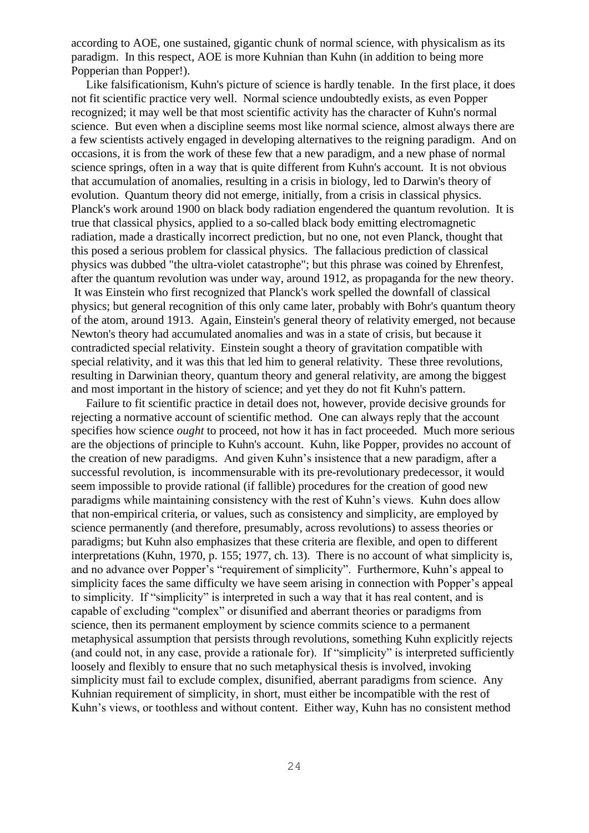according to AOE, one sustained, gigantic chunk of normal science, with physicalism as its paradigm. In this respect, AOE is more Kuhnian than Kuhn (in addition to being more Popperian than Popper!).

 Like falsificationism, Kuhn's picture of science is hardly tenable. In the first place, it does not fit scientific practice very well. Normal science undoubtedly exists, as even Popper recognized; it may well be that most scientific activity has the character of Kuhn's normal science. But even when a discipline seems most like normal science, almost always there are a few scientists actively engaged in developing alternatives to the reigning paradigm. And on occasions, it is from the work of these few that a new paradigm, and a new phase of normal science springs, often in a way that is quite different from Kuhn's account. It is not obvious that accumulation of anomalies, resulting in a crisis in biology, led to Darwin's theory of evolution. Quantum theory did not emerge, initially, from a crisis in classical physics. Planck's work around 1900 on black body radiation engendered the quantum revolution. It is true that classical physics, applied to a so-called black body emitting electromagnetic radiation, made a drastically incorrect prediction, but no one, not even Planck, thought that this posed a serious problem for classical physics. The fallacious prediction of classical physics was dubbed "the ultra-violet catastrophe"; but this phrase was coined by Ehrenfest, after the quantum revolution was under way, around 1912, as propaganda for the new theory. It was Einstein who first recognized that Planck's work spelled the downfall of classical physics; but general recognition of this only came later, probably with Bohr's quantum theory of the atom, around 1913. Again, Einstein's general theory of relativity emerged, not because Newton's theory had accumulated anomalies and was in a state of crisis, but because it contradicted special relativity. Einstein sought a theory of gravitation compatible with special relativity, and it was this that led him to general relativity. These three revolutions, resulting in Darwinian theory, quantum theory and general relativity, are among the biggest and most important in the history of science; and yet they do not fit Kuhn's pattern.

 Failure to fit scientific practice in detail does not, however, provide decisive grounds for rejecting a normative account of scientific method. One can always reply that the account specifies how science *ought* to proceed, not how it has in fact proceeded. Much more serious are the objections of principle to Kuhn's account. Kuhn, like Popper, provides no account of the creation of new paradigms. And given Kuhn's insistence that a new paradigm, after a successful revolution, is incommensurable with its pre-revolutionary predecessor, it would seem impossible to provide rational (if fallible) procedures for the creation of good new paradigms while maintaining consistency with the rest of Kuhn's views. Kuhn does allow that non-empirical criteria, or values, such as consistency and simplicity, are employed by science permanently (and therefore, presumably, across revolutions) to assess theories or paradigms; but Kuhn also emphasizes that these criteria are flexible, and open to different interpretations (Kuhn, 1970, p. 155; 1977, ch. 13). There is no account of what simplicity is, and no advance over Popper's "requirement of simplicity". Furthermore, Kuhn's appeal to simplicity faces the same difficulty we have seem arising in connection with Popper's appeal to simplicity. If "simplicity" is interpreted in such a way that it has real content, and is capable of excluding "complex" or disunified and aberrant theories or paradigms from science, then its permanent employment by science commits science to a permanent metaphysical assumption that persists through revolutions, something Kuhn explicitly rejects (and could not, in any case, provide a rationale for). If "simplicity" is interpreted sufficiently loosely and flexibly to ensure that no such metaphysical thesis is involved, invoking simplicity must fail to exclude complex, disunified, aberrant paradigms from science. Any Kuhnian requirement of simplicity, in short, must either be incompatible with the rest of Kuhn's views, or toothless and without content. Either way, Kuhn has no consistent method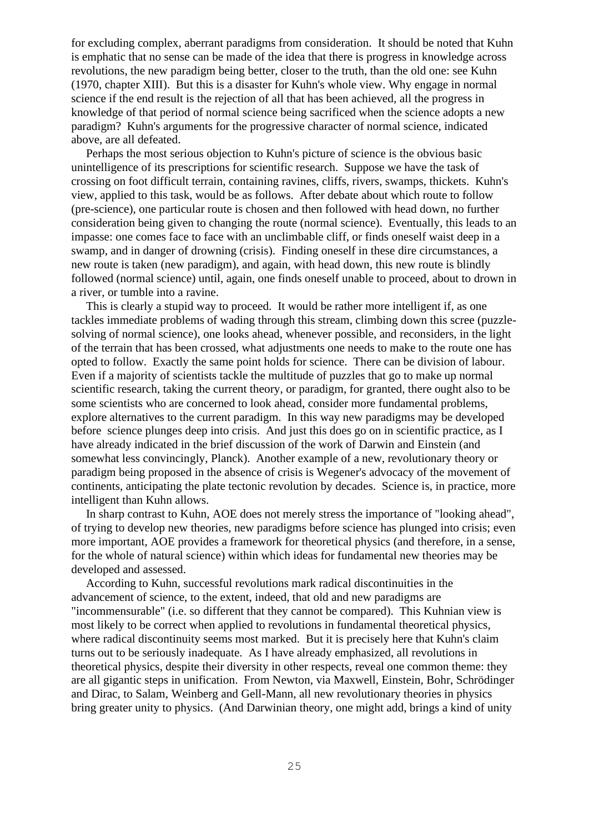for excluding complex, aberrant paradigms from consideration. It should be noted that Kuhn is emphatic that no sense can be made of the idea that there is progress in knowledge across revolutions, the new paradigm being better, closer to the truth, than the old one: see Kuhn (1970, chapter XIII). But this is a disaster for Kuhn's whole view. Why engage in normal science if the end result is the rejection of all that has been achieved, all the progress in knowledge of that period of normal science being sacrificed when the science adopts a new paradigm? Kuhn's arguments for the progressive character of normal science, indicated above, are all defeated.

 Perhaps the most serious objection to Kuhn's picture of science is the obvious basic unintelligence of its prescriptions for scientific research. Suppose we have the task of crossing on foot difficult terrain, containing ravines, cliffs, rivers, swamps, thickets. Kuhn's view, applied to this task, would be as follows. After debate about which route to follow (pre-science), one particular route is chosen and then followed with head down, no further consideration being given to changing the route (normal science). Eventually, this leads to an impasse: one comes face to face with an unclimbable cliff, or finds oneself waist deep in a swamp, and in danger of drowning (crisis). Finding oneself in these dire circumstances, a new route is taken (new paradigm), and again, with head down, this new route is blindly followed (normal science) until, again, one finds oneself unable to proceed, about to drown in a river, or tumble into a ravine.

 This is clearly a stupid way to proceed. It would be rather more intelligent if, as one tackles immediate problems of wading through this stream, climbing down this scree (puzzlesolving of normal science), one looks ahead, whenever possible, and reconsiders, in the light of the terrain that has been crossed, what adjustments one needs to make to the route one has opted to follow. Exactly the same point holds for science. There can be division of labour. Even if a majority of scientists tackle the multitude of puzzles that go to make up normal scientific research, taking the current theory, or paradigm, for granted, there ought also to be some scientists who are concerned to look ahead, consider more fundamental problems, explore alternatives to the current paradigm. In this way new paradigms may be developed before science plunges deep into crisis. And just this does go on in scientific practice, as I have already indicated in the brief discussion of the work of Darwin and Einstein (and somewhat less convincingly, Planck). Another example of a new, revolutionary theory or paradigm being proposed in the absence of crisis is Wegener's advocacy of the movement of continents, anticipating the plate tectonic revolution by decades. Science is, in practice, more intelligent than Kuhn allows.

 In sharp contrast to Kuhn, AOE does not merely stress the importance of "looking ahead", of trying to develop new theories, new paradigms before science has plunged into crisis; even more important, AOE provides a framework for theoretical physics (and therefore, in a sense, for the whole of natural science) within which ideas for fundamental new theories may be developed and assessed.

 According to Kuhn, successful revolutions mark radical discontinuities in the advancement of science, to the extent, indeed, that old and new paradigms are "incommensurable" (i.e. so different that they cannot be compared). This Kuhnian view is most likely to be correct when applied to revolutions in fundamental theoretical physics, where radical discontinuity seems most marked. But it is precisely here that Kuhn's claim turns out to be seriously inadequate. As I have already emphasized, all revolutions in theoretical physics, despite their diversity in other respects, reveal one common theme: they are all gigantic steps in unification. From Newton, via Maxwell, Einstein, Bohr, Schrödinger and Dirac, to Salam, Weinberg and Gell-Mann, all new revolutionary theories in physics bring greater unity to physics. (And Darwinian theory, one might add, brings a kind of unity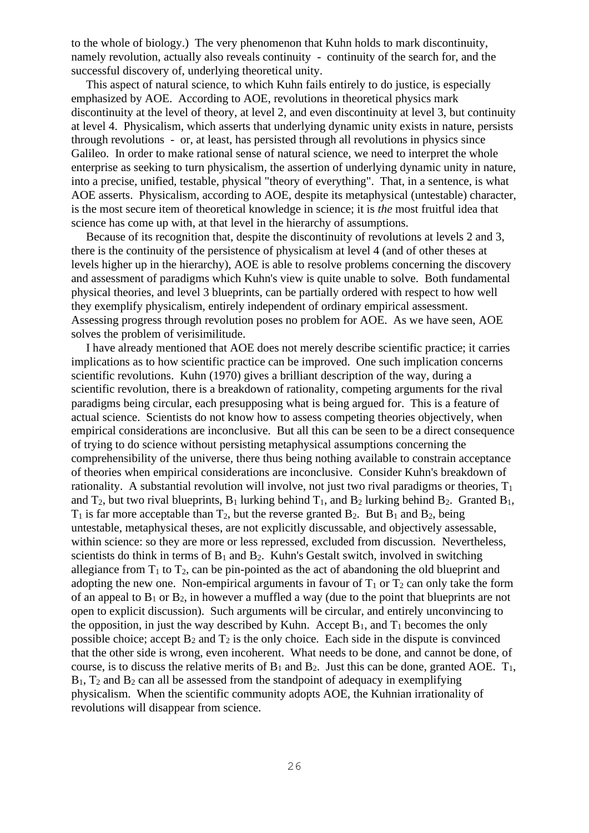to the whole of biology.) The very phenomenon that Kuhn holds to mark discontinuity, namely revolution, actually also reveals continuity - continuity of the search for, and the successful discovery of, underlying theoretical unity.

 This aspect of natural science, to which Kuhn fails entirely to do justice, is especially emphasized by AOE. According to AOE, revolutions in theoretical physics mark discontinuity at the level of theory, at level 2, and even discontinuity at level 3, but continuity at level 4. Physicalism, which asserts that underlying dynamic unity exists in nature, persists through revolutions - or, at least, has persisted through all revolutions in physics since Galileo. In order to make rational sense of natural science, we need to interpret the whole enterprise as seeking to turn physicalism, the assertion of underlying dynamic unity in nature, into a precise, unified, testable, physical "theory of everything". That, in a sentence, is what AOE asserts. Physicalism, according to AOE, despite its metaphysical (untestable) character, is the most secure item of theoretical knowledge in science; it is *the* most fruitful idea that science has come up with, at that level in the hierarchy of assumptions.

 Because of its recognition that, despite the discontinuity of revolutions at levels 2 and 3, there is the continuity of the persistence of physicalism at level 4 (and of other theses at levels higher up in the hierarchy), AOE is able to resolve problems concerning the discovery and assessment of paradigms which Kuhn's view is quite unable to solve. Both fundamental physical theories, and level 3 blueprints, can be partially ordered with respect to how well they exemplify physicalism, entirely independent of ordinary empirical assessment. Assessing progress through revolution poses no problem for AOE. As we have seen, AOE solves the problem of verisimilitude.

 I have already mentioned that AOE does not merely describe scientific practice; it carries implications as to how scientific practice can be improved. One such implication concerns scientific revolutions. Kuhn (1970) gives a brilliant description of the way, during a scientific revolution, there is a breakdown of rationality, competing arguments for the rival paradigms being circular, each presupposing what is being argued for. This is a feature of actual science. Scientists do not know how to assess competing theories objectively, when empirical considerations are inconclusive. But all this can be seen to be a direct consequence of trying to do science without persisting metaphysical assumptions concerning the comprehensibility of the universe, there thus being nothing available to constrain acceptance of theories when empirical considerations are inconclusive. Consider Kuhn's breakdown of rationality. A substantial revolution will involve, not just two rival paradigms or theories,  $T_1$ and  $T_2$ , but two rival blueprints,  $B_1$  lurking behind  $T_1$ , and  $B_2$  lurking behind  $B_2$ . Granted  $B_1$ ,  $T_1$  is far more acceptable than  $T_2$ , but the reverse granted  $B_2$ . But  $B_1$  and  $B_2$ , being untestable, metaphysical theses, are not explicitly discussable, and objectively assessable, within science: so they are more or less repressed, excluded from discussion. Nevertheless, scientists do think in terms of  $B_1$  and  $B_2$ . Kuhn's Gestalt switch, involved in switching allegiance from  $T_1$  to  $T_2$ , can be pin-pointed as the act of abandoning the old blueprint and adopting the new one. Non-empirical arguments in favour of  $T_1$  or  $T_2$  can only take the form of an appeal to  $B_1$  or  $B_2$ , in however a muffled a way (due to the point that blueprints are not open to explicit discussion). Such arguments will be circular, and entirely unconvincing to the opposition, in just the way described by Kuhn. Accept  $B_1$ , and  $T_1$  becomes the only possible choice; accept  $B_2$  and  $T_2$  is the only choice. Each side in the dispute is convinced that the other side is wrong, even incoherent. What needs to be done, and cannot be done, of course, is to discuss the relative merits of  $B_1$  and  $B_2$ . Just this can be done, granted AOE.  $T_1$ ,  $B_1$ ,  $T_2$  and  $B_2$  can all be assessed from the standpoint of adequacy in exemplifying physicalism. When the scientific community adopts AOE, the Kuhnian irrationality of revolutions will disappear from science.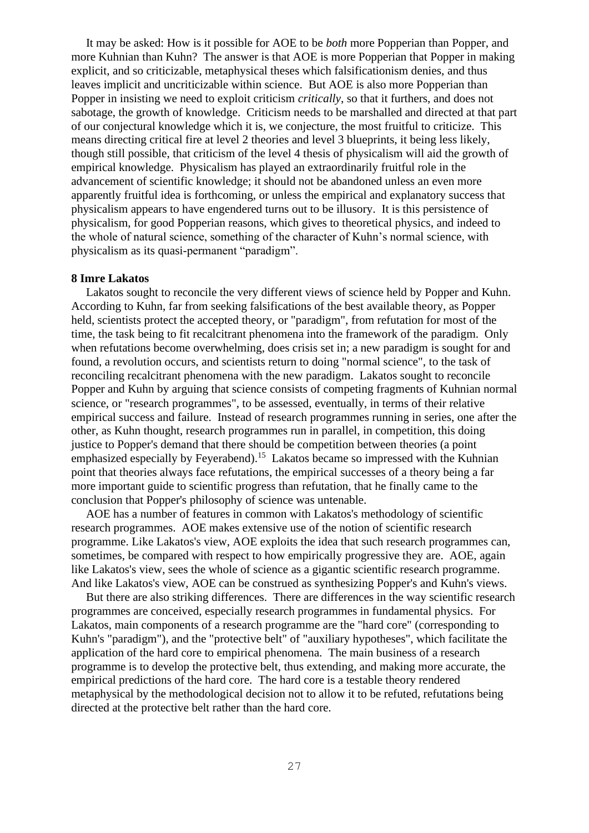It may be asked: How is it possible for AOE to be *both* more Popperian than Popper, and more Kuhnian than Kuhn? The answer is that AOE is more Popperian that Popper in making explicit, and so criticizable, metaphysical theses which falsificationism denies, and thus leaves implicit and uncriticizable within science. But AOE is also more Popperian than Popper in insisting we need to exploit criticism *critically*, so that it furthers, and does not sabotage, the growth of knowledge. Criticism needs to be marshalled and directed at that part of our conjectural knowledge which it is, we conjecture, the most fruitful to criticize. This means directing critical fire at level 2 theories and level 3 blueprints, it being less likely, though still possible, that criticism of the level 4 thesis of physicalism will aid the growth of empirical knowledge. Physicalism has played an extraordinarily fruitful role in the advancement of scientific knowledge; it should not be abandoned unless an even more apparently fruitful idea is forthcoming, or unless the empirical and explanatory success that physicalism appears to have engendered turns out to be illusory. It is this persistence of physicalism, for good Popperian reasons, which gives to theoretical physics, and indeed to the whole of natural science, something of the character of Kuhn's normal science, with physicalism as its quasi-permanent "paradigm".

# **8 Imre Lakatos**

 Lakatos sought to reconcile the very different views of science held by Popper and Kuhn. According to Kuhn, far from seeking falsifications of the best available theory, as Popper held, scientists protect the accepted theory, or "paradigm", from refutation for most of the time, the task being to fit recalcitrant phenomena into the framework of the paradigm. Only when refutations become overwhelming, does crisis set in; a new paradigm is sought for and found, a revolution occurs, and scientists return to doing "normal science", to the task of reconciling recalcitrant phenomena with the new paradigm. Lakatos sought to reconcile Popper and Kuhn by arguing that science consists of competing fragments of Kuhnian normal science, or "research programmes", to be assessed, eventually, in terms of their relative empirical success and failure. Instead of research programmes running in series, one after the other, as Kuhn thought, research programmes run in parallel, in competition, this doing justice to Popper's demand that there should be competition between theories (a point emphasized especially by Feyerabend).<sup>15</sup> Lakatos became so impressed with the Kuhnian point that theories always face refutations, the empirical successes of a theory being a far more important guide to scientific progress than refutation, that he finally came to the conclusion that Popper's philosophy of science was untenable.

 AOE has a number of features in common with Lakatos's methodology of scientific research programmes. AOE makes extensive use of the notion of scientific research programme. Like Lakatos's view, AOE exploits the idea that such research programmes can, sometimes, be compared with respect to how empirically progressive they are. AOE, again like Lakatos's view, sees the whole of science as a gigantic scientific research programme. And like Lakatos's view, AOE can be construed as synthesizing Popper's and Kuhn's views.

 But there are also striking differences. There are differences in the way scientific research programmes are conceived, especially research programmes in fundamental physics. For Lakatos, main components of a research programme are the "hard core" (corresponding to Kuhn's "paradigm"), and the "protective belt" of "auxiliary hypotheses", which facilitate the application of the hard core to empirical phenomena. The main business of a research programme is to develop the protective belt, thus extending, and making more accurate, the empirical predictions of the hard core. The hard core is a testable theory rendered metaphysical by the methodological decision not to allow it to be refuted, refutations being directed at the protective belt rather than the hard core.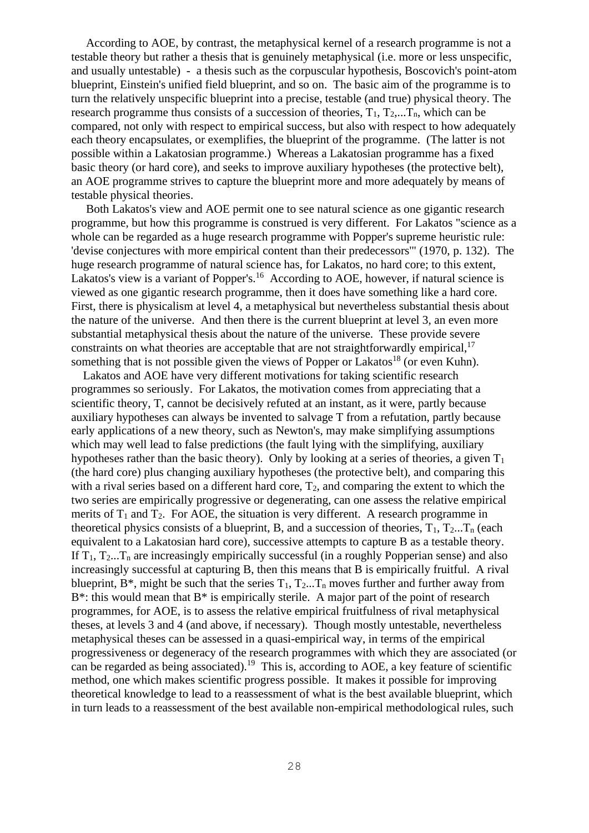According to AOE, by contrast, the metaphysical kernel of a research programme is not a testable theory but rather a thesis that is genuinely metaphysical (i.e. more or less unspecific, and usually untestable) - a thesis such as the corpuscular hypothesis, Boscovich's point-atom blueprint, Einstein's unified field blueprint, and so on. The basic aim of the programme is to turn the relatively unspecific blueprint into a precise, testable (and true) physical theory. The research programme thus consists of a succession of theories,  $T_1, T_2,...T_n$ , which can be compared, not only with respect to empirical success, but also with respect to how adequately each theory encapsulates, or exemplifies, the blueprint of the programme. (The latter is not possible within a Lakatosian programme.) Whereas a Lakatosian programme has a fixed basic theory (or hard core), and seeks to improve auxiliary hypotheses (the protective belt), an AOE programme strives to capture the blueprint more and more adequately by means of testable physical theories.

 Both Lakatos's view and AOE permit one to see natural science as one gigantic research programme, but how this programme is construed is very different. For Lakatos "science as a whole can be regarded as a huge research programme with Popper's supreme heuristic rule: 'devise conjectures with more empirical content than their predecessors'" (1970, p. 132). The huge research programme of natural science has, for Lakatos, no hard core; to this extent, Lakatos's view is a variant of Popper's.<sup>16</sup> According to AOE, however, if natural science is viewed as one gigantic research programme, then it does have something like a hard core. First, there is physicalism at level 4, a metaphysical but nevertheless substantial thesis about the nature of the universe. And then there is the current blueprint at level 3, an even more substantial metaphysical thesis about the nature of the universe. These provide severe constraints on what theories are acceptable that are not straightforwardly empirical,  $17$ something that is not possible given the views of Popper or Lakatos<sup>18</sup> (or even Kuhn).

 Lakatos and AOE have very different motivations for taking scientific research programmes so seriously. For Lakatos, the motivation comes from appreciating that a scientific theory, T, cannot be decisively refuted at an instant, as it were, partly because auxiliary hypotheses can always be invented to salvage T from a refutation, partly because early applications of a new theory, such as Newton's, may make simplifying assumptions which may well lead to false predictions (the fault lying with the simplifying, auxiliary hypotheses rather than the basic theory). Only by looking at a series of theories, a given  $T_1$ (the hard core) plus changing auxiliary hypotheses (the protective belt), and comparing this with a rival series based on a different hard core,  $T_2$ , and comparing the extent to which the two series are empirically progressive or degenerating, can one assess the relative empirical merits of  $T_1$  and  $T_2$ . For AOE, the situation is very different. A research programme in theoretical physics consists of a blueprint, B, and a succession of theories,  $T_1$ ,  $T_2...T_n$  (each equivalent to a Lakatosian hard core), successive attempts to capture B as a testable theory. If  $T_1, T_2...T_n$  are increasingly empirically successful (in a roughly Popperian sense) and also increasingly successful at capturing B, then this means that B is empirically fruitful. A rival blueprint,  $B^*$ , might be such that the series  $T_1, T_2...T_n$  moves further and further away from  $B^*$ : this would mean that  $B^*$  is empirically sterile. A major part of the point of research programmes, for AOE, is to assess the relative empirical fruitfulness of rival metaphysical theses, at levels 3 and 4 (and above, if necessary). Though mostly untestable, nevertheless metaphysical theses can be assessed in a quasi-empirical way, in terms of the empirical progressiveness or degeneracy of the research programmes with which they are associated (or can be regarded as being associated).<sup>19</sup> This is, according to AOE, a key feature of scientific method, one which makes scientific progress possible. It makes it possible for improving theoretical knowledge to lead to a reassessment of what is the best available blueprint, which in turn leads to a reassessment of the best available non-empirical methodological rules, such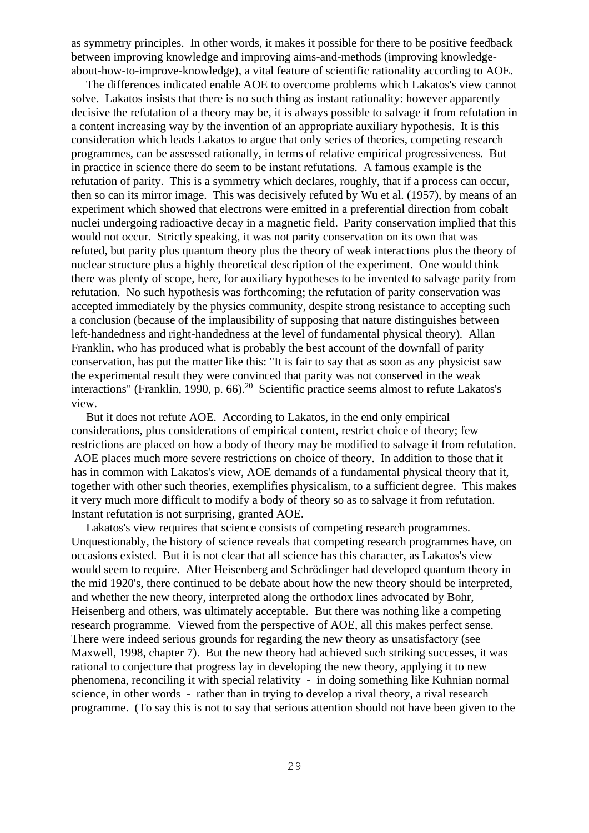as symmetry principles. In other words, it makes it possible for there to be positive feedback between improving knowledge and improving aims-and-methods (improving knowledgeabout-how-to-improve-knowledge), a vital feature of scientific rationality according to AOE.

 The differences indicated enable AOE to overcome problems which Lakatos's view cannot solve. Lakatos insists that there is no such thing as instant rationality: however apparently decisive the refutation of a theory may be, it is always possible to salvage it from refutation in a content increasing way by the invention of an appropriate auxiliary hypothesis. It is this consideration which leads Lakatos to argue that only series of theories, competing research programmes, can be assessed rationally, in terms of relative empirical progressiveness. But in practice in science there do seem to be instant refutations. A famous example is the refutation of parity. This is a symmetry which declares, roughly, that if a process can occur, then so can its mirror image. This was decisively refuted by Wu et al. (1957), by means of an experiment which showed that electrons were emitted in a preferential direction from cobalt nuclei undergoing radioactive decay in a magnetic field. Parity conservation implied that this would not occur. Strictly speaking, it was not parity conservation on its own that was refuted, but parity plus quantum theory plus the theory of weak interactions plus the theory of nuclear structure plus a highly theoretical description of the experiment. One would think there was plenty of scope, here, for auxiliary hypotheses to be invented to salvage parity from refutation. No such hypothesis was forthcoming; the refutation of parity conservation was accepted immediately by the physics community, despite strong resistance to accepting such a conclusion (because of the implausibility of supposing that nature distinguishes between left-handedness and right-handedness at the level of fundamental physical theory). Allan Franklin, who has produced what is probably the best account of the downfall of parity conservation, has put the matter like this: "It is fair to say that as soon as any physicist saw the experimental result they were convinced that parity was not conserved in the weak interactions" (Franklin, 1990, p. 66).<sup>20</sup> Scientific practice seems almost to refute Lakatos's view.

 But it does not refute AOE. According to Lakatos, in the end only empirical considerations, plus considerations of empirical content, restrict choice of theory; few restrictions are placed on how a body of theory may be modified to salvage it from refutation. AOE places much more severe restrictions on choice of theory. In addition to those that it has in common with Lakatos's view, AOE demands of a fundamental physical theory that it, together with other such theories, exemplifies physicalism, to a sufficient degree. This makes it very much more difficult to modify a body of theory so as to salvage it from refutation. Instant refutation is not surprising, granted AOE.

 Lakatos's view requires that science consists of competing research programmes. Unquestionably, the history of science reveals that competing research programmes have, on occasions existed. But it is not clear that all science has this character, as Lakatos's view would seem to require. After Heisenberg and Schrödinger had developed quantum theory in the mid 1920's, there continued to be debate about how the new theory should be interpreted, and whether the new theory, interpreted along the orthodox lines advocated by Bohr, Heisenberg and others, was ultimately acceptable. But there was nothing like a competing research programme. Viewed from the perspective of AOE, all this makes perfect sense. There were indeed serious grounds for regarding the new theory as unsatisfactory (see Maxwell, 1998, chapter 7). But the new theory had achieved such striking successes, it was rational to conjecture that progress lay in developing the new theory, applying it to new phenomena, reconciling it with special relativity - in doing something like Kuhnian normal science, in other words - rather than in trying to develop a rival theory, a rival research programme. (To say this is not to say that serious attention should not have been given to the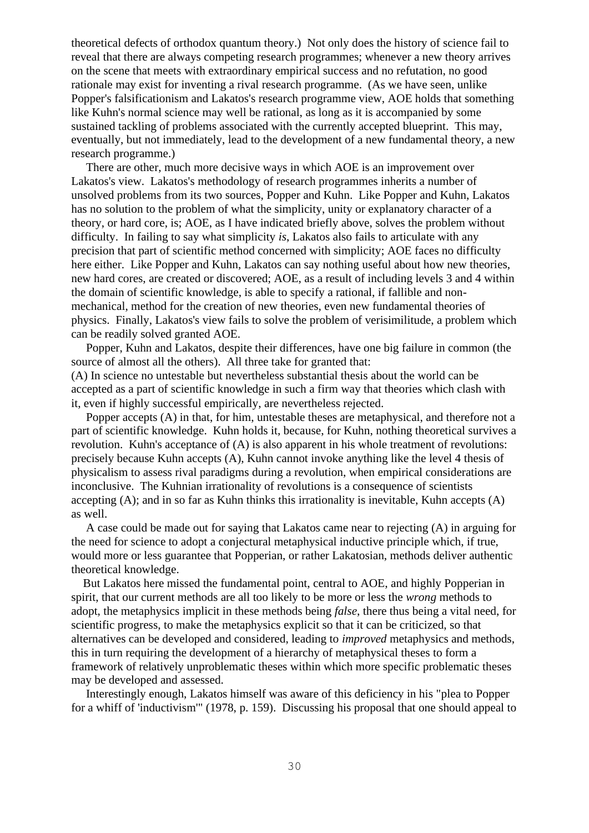theoretical defects of orthodox quantum theory.) Not only does the history of science fail to reveal that there are always competing research programmes; whenever a new theory arrives on the scene that meets with extraordinary empirical success and no refutation, no good rationale may exist for inventing a rival research programme. (As we have seen, unlike Popper's falsificationism and Lakatos's research programme view, AOE holds that something like Kuhn's normal science may well be rational, as long as it is accompanied by some sustained tackling of problems associated with the currently accepted blueprint. This may, eventually, but not immediately, lead to the development of a new fundamental theory, a new research programme.)

 There are other, much more decisive ways in which AOE is an improvement over Lakatos's view. Lakatos's methodology of research programmes inherits a number of unsolved problems from its two sources, Popper and Kuhn. Like Popper and Kuhn, Lakatos has no solution to the problem of what the simplicity, unity or explanatory character of a theory, or hard core, is; AOE, as I have indicated briefly above, solves the problem without difficulty. In failing to say what simplicity *is*, Lakatos also fails to articulate with any precision that part of scientific method concerned with simplicity; AOE faces no difficulty here either. Like Popper and Kuhn, Lakatos can say nothing useful about how new theories, new hard cores, are created or discovered; AOE, as a result of including levels 3 and 4 within the domain of scientific knowledge, is able to specify a rational, if fallible and nonmechanical, method for the creation of new theories, even new fundamental theories of physics. Finally, Lakatos's view fails to solve the problem of verisimilitude, a problem which can be readily solved granted AOE.

 Popper, Kuhn and Lakatos, despite their differences, have one big failure in common (the source of almost all the others). All three take for granted that: (A) In science no untestable but nevertheless substantial thesis about the world can be accepted as a part of scientific knowledge in such a firm way that theories which clash with it, even if highly successful empirically, are nevertheless rejected.

 Popper accepts (A) in that, for him, untestable theses are metaphysical, and therefore not a part of scientific knowledge. Kuhn holds it, because, for Kuhn, nothing theoretical survives a revolution. Kuhn's acceptance of (A) is also apparent in his whole treatment of revolutions: precisely because Kuhn accepts (A), Kuhn cannot invoke anything like the level 4 thesis of physicalism to assess rival paradigms during a revolution, when empirical considerations are inconclusive. The Kuhnian irrationality of revolutions is a consequence of scientists accepting (A); and in so far as Kuhn thinks this irrationality is inevitable, Kuhn accepts (A) as well.

 A case could be made out for saying that Lakatos came near to rejecting (A) in arguing for the need for science to adopt a conjectural metaphysical inductive principle which, if true, would more or less guarantee that Popperian, or rather Lakatosian, methods deliver authentic theoretical knowledge.

 But Lakatos here missed the fundamental point, central to AOE, and highly Popperian in spirit, that our current methods are all too likely to be more or less the *wrong* methods to adopt, the metaphysics implicit in these methods being *false*, there thus being a vital need, for scientific progress, to make the metaphysics explicit so that it can be criticized, so that alternatives can be developed and considered, leading to *improved* metaphysics and methods, this in turn requiring the development of a hierarchy of metaphysical theses to form a framework of relatively unproblematic theses within which more specific problematic theses may be developed and assessed.

 Interestingly enough, Lakatos himself was aware of this deficiency in his "plea to Popper for a whiff of 'inductivism'" (1978, p. 159). Discussing his proposal that one should appeal to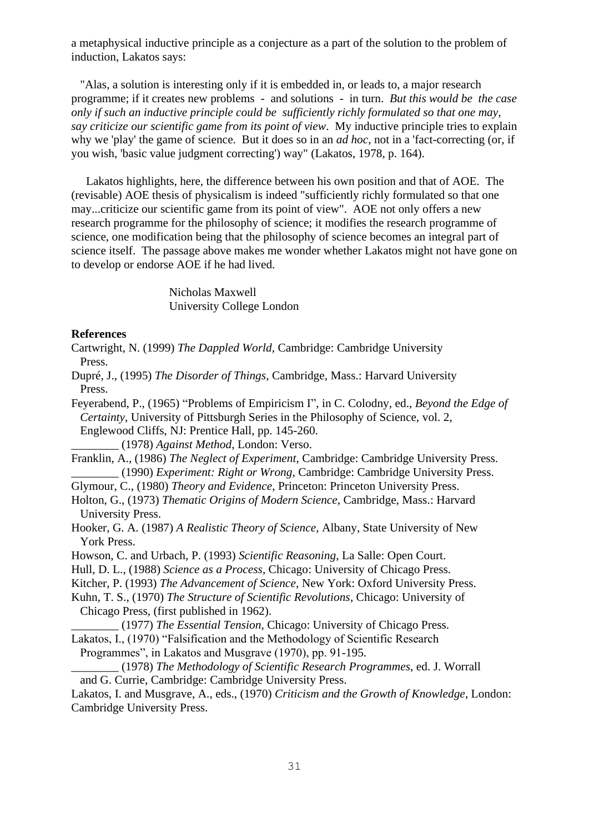a metaphysical inductive principle as a conjecture as a part of the solution to the problem of induction, Lakatos says:

 "Alas, a solution is interesting only if it is embedded in, or leads to, a major research programme; if it creates new problems - and solutions - in turn. *But this would be the case only if such an inductive principle could be sufficiently richly formulated so that one may, say criticize our scientific game from its point of view*. My inductive principle tries to explain why we 'play' the game of science. But it does so in an *ad hoc*, not in a 'fact-correcting (or, if you wish, 'basic value judgment correcting') way" (Lakatos, 1978, p. 164).

 Lakatos highlights, here, the difference between his own position and that of AOE. The (revisable) AOE thesis of physicalism is indeed "sufficiently richly formulated so that one may...criticize our scientific game from its point of view". AOE not only offers a new research programme for the philosophy of science; it modifies the research programme of science, one modification being that the philosophy of science becomes an integral part of science itself. The passage above makes me wonder whether Lakatos might not have gone on to develop or endorse AOE if he had lived.

> Nicholas Maxwell University College London

# **References**

- Cartwright, N. (1999) *The Dappled World*, Cambridge: Cambridge University Press.
- Dupré, J., (1995) *The Disorder of Things*, Cambridge, Mass.: Harvard University Press.

Feyerabend, P., (1965) "Problems of Empiricism I", in C. Colodny, ed., *Beyond the Edge of Certainty*, University of Pittsburgh Series in the Philosophy of Science, vol. 2, Englewood Cliffs, NJ: Prentice Hall, pp. 145-260.

\_\_\_\_\_\_\_\_ (1978) *Against Method*, London: Verso.

Franklin, A., (1986) *The Neglect of Experiment*, Cambridge: Cambridge University Press. \_\_\_\_\_\_\_\_ (1990) *Experiment: Right or Wrong*, Cambridge: Cambridge University Press.

Glymour, C., (1980) *Theory and Evidence*, Princeton: Princeton University Press.

- Holton, G., (1973) *Thematic Origins of Modern Science*, Cambridge, Mass.: Harvard University Press.
- Hooker, G. A. (1987) *A Realistic Theory of Science*, Albany, State University of New York Press.
- Howson, C. and Urbach, P. (1993) *Scientific Reasoning*, La Salle: Open Court.
- Hull, D. L., (1988) *Science as a Process*, Chicago: University of Chicago Press.
- Kitcher, P. (1993) *The Advancement of Science*, New York: Oxford University Press.
- Kuhn, T. S., (1970) *The Structure of Scientific Revolutions*, Chicago: University of Chicago Press, (first published in 1962).
- \_\_\_\_\_\_\_\_ (1977) *The Essential Tension*, Chicago: University of Chicago Press.
- Lakatos, I., (1970) "Falsification and the Methodology of Scientific Research
- Programmes", in Lakatos and Musgrave (1970), pp. 91-195.
- \_\_\_\_\_\_\_\_ (1978) *The Methodology of Scientific Research Programmes*, ed. J. Worrall and G. Currie, Cambridge: Cambridge University Press.
- Lakatos, I. and Musgrave, A., eds., (1970) *Criticism and the Growth of Knowledge*, London: Cambridge University Press.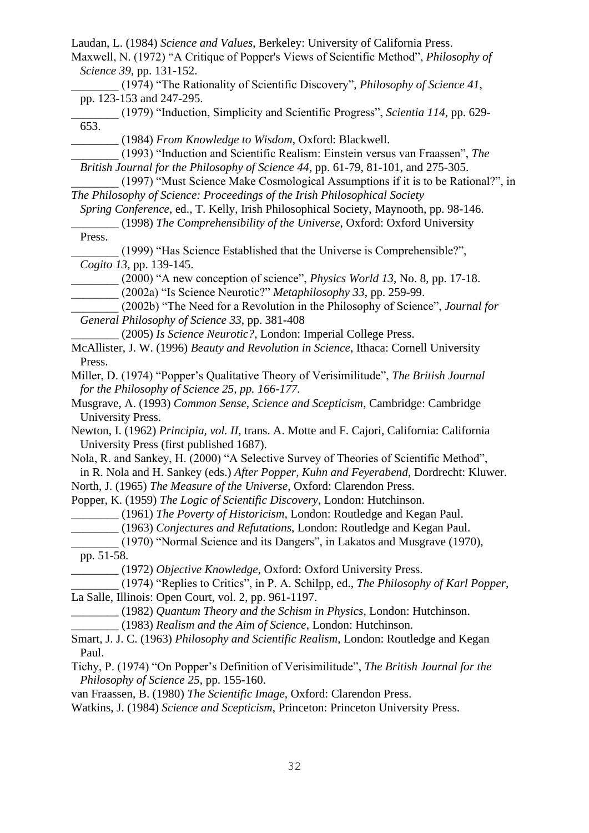Laudan, L. (1984) *Science and Values*, Berkeley: University of California Press.

Maxwell, N. (1972) "A Critique of Popper's Views of Scientific Method", *Philosophy of Science 39*, pp. 131-152.

- \_\_\_\_\_\_\_\_ (1974) "The Rationality of Scientific Discovery", *Philosophy of Science 41*, pp. 123-153 and 247-295.
- \_\_\_\_\_\_\_\_ (1979) "Induction, Simplicity and Scientific Progress", *Scientia 114*, pp. 629- 653.

\_\_\_\_\_\_\_\_ (1984) *From Knowledge to Wisdom*, Oxford: Blackwell.

\_\_\_\_\_\_\_\_ (1993) "Induction and Scientific Realism: Einstein versus van Fraassen", *The British Journal for the Philosophy of Science 44*, pp. 61-79, 81-101, and 275-305.

(1997) "Must Science Make Cosmological Assumptions if it is to be Rational?", in *The Philosophy of Science: Proceedings of the Irish Philosophical Society*

 *Spring Conference*, ed., T. Kelly, Irish Philosophical Society, Maynooth, pp. 98-146.

\_\_\_\_\_\_\_\_ (1998) *The Comprehensibility of the Universe*, Oxford: Oxford University Press.

\_\_\_\_\_\_\_\_ (1999) "Has Science Established that the Universe is Comprehensible?", *Cogito 13*, pp. 139-145.

\_\_\_\_\_\_\_\_ (2000) "A new conception of science", *Physics World 13*, No. 8, pp. 17-18.

\_\_\_\_\_\_\_\_ (2002a) "Is Science Neurotic?" *Metaphilosophy 33*, pp. 259-99.

\_\_\_\_\_\_\_\_ (2002b) "The Need for a Revolution in the Philosophy of Science", *Journal for General Philosophy of Science 33*, pp. 381-408

\_\_\_\_\_\_\_\_ (2005) *Is Science Neurotic?*, London: Imperial College Press.

- McAllister, J. W. (1996) *Beauty and Revolution in Science*, Ithaca: Cornell University Press.
- Miller, D. (1974) "Popper's Qualitative Theory of Verisimilitude", *The British Journal for the Philosophy of Science 25, pp. 166-177.*
- Musgrave, A. (1993) *Common Sense, Science and Scepticism*, Cambridge: Cambridge University Press.

Newton, I. (1962) *Principia, vol. II,* trans. A. Motte and F. Cajori, California: California University Press (first published 1687).

- Nola, R. and Sankey, H. (2000) "A Selective Survey of Theories of Scientific Method", in R. Nola and H. Sankey (eds.) *After Popper, Kuhn and Feyerabend*, Dordrecht: Kluwer.
- North, J. (1965) *The Measure of the Universe*, Oxford: Clarendon Press.
- Popper, K. (1959) *The Logic of Scientific Discovery*, London: Hutchinson.
- \_\_\_\_\_\_\_\_ (1961) *The Poverty of Historicism*, London: Routledge and Kegan Paul.
	- \_\_\_\_\_\_\_\_ (1963) *Conjectures and Refutations*, London: Routledge and Kegan Paul.

\_\_\_\_\_\_\_\_ (1970) "Normal Science and its Dangers", in Lakatos and Musgrave (1970), pp. 51-58.

\_\_\_\_\_\_\_\_ (1972) *Objective Knowledge*, Oxford: Oxford University Press.

\_\_\_\_\_\_\_\_ (1974) "Replies to Critics", in P. A. Schilpp, ed., *The Philosophy of Karl Popper*, La Salle, Illinois: Open Court, vol. 2, pp. 961-1197.

\_\_\_\_\_\_\_\_ (1982) *Quantum Theory and the Schism in Physics*, London: Hutchinson.

\_\_\_\_\_\_\_\_ (1983) *Realism and the Aim of Science*, London: Hutchinson.

- Smart, J. J. C. (1963) *Philosophy and Scientific Realism*, London: Routledge and Kegan Paul.
- Tichy, P. (1974) "On Popper's Definition of Verisimilitude", *The British Journal for the Philosophy of Science 25*, pp. 155-160.
- van Fraassen, B. (1980) *The Scientific Image*, Oxford: Clarendon Press.

Watkins, J. (1984) *Science and Scepticism*, Princeton: Princeton University Press.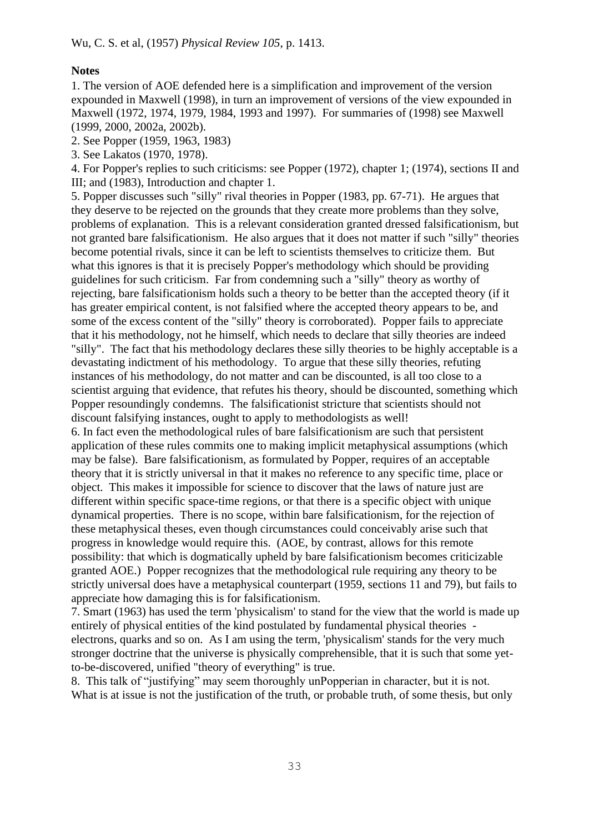Wu, C. S. et al, (1957) *Physical Review 105*, p. 1413.

# **Notes**

1. The version of AOE defended here is a simplification and improvement of the version expounded in Maxwell (1998), in turn an improvement of versions of the view expounded in Maxwell (1972, 1974, 1979, 1984, 1993 and 1997). For summaries of (1998) see Maxwell (1999, 2000, 2002a, 2002b).

2. See Popper (1959, 1963, 1983)

3. See Lakatos (1970, 1978).

4. For Popper's replies to such criticisms: see Popper (1972), chapter 1; (1974), sections II and III; and (1983), Introduction and chapter 1.

5. Popper discusses such "silly" rival theories in Popper (1983, pp. 67-71). He argues that they deserve to be rejected on the grounds that they create more problems than they solve, problems of explanation. This is a relevant consideration granted dressed falsificationism, but not granted bare falsificationism. He also argues that it does not matter if such "silly" theories become potential rivals, since it can be left to scientists themselves to criticize them. But what this ignores is that it is precisely Popper's methodology which should be providing guidelines for such criticism. Far from condemning such a "silly" theory as worthy of rejecting, bare falsificationism holds such a theory to be better than the accepted theory (if it has greater empirical content, is not falsified where the accepted theory appears to be, and some of the excess content of the "silly" theory is corroborated). Popper fails to appreciate that it his methodology, not he himself, which needs to declare that silly theories are indeed "silly". The fact that his methodology declares these silly theories to be highly acceptable is a devastating indictment of his methodology. To argue that these silly theories, refuting instances of his methodology, do not matter and can be discounted, is all too close to a scientist arguing that evidence, that refutes his theory, should be discounted, something which Popper resoundingly condemns. The falsificationist stricture that scientists should not discount falsifying instances, ought to apply to methodologists as well!

6. In fact even the methodological rules of bare falsificationism are such that persistent application of these rules commits one to making implicit metaphysical assumptions (which may be false). Bare falsificationism, as formulated by Popper, requires of an acceptable theory that it is strictly universal in that it makes no reference to any specific time, place or object. This makes it impossible for science to discover that the laws of nature just are different within specific space-time regions, or that there is a specific object with unique dynamical properties. There is no scope, within bare falsificationism, for the rejection of these metaphysical theses, even though circumstances could conceivably arise such that progress in knowledge would require this. (AOE, by contrast, allows for this remote possibility: that which is dogmatically upheld by bare falsificationism becomes criticizable granted AOE.) Popper recognizes that the methodological rule requiring any theory to be strictly universal does have a metaphysical counterpart (1959, sections 11 and 79), but fails to appreciate how damaging this is for falsificationism.

7. Smart (1963) has used the term 'physicalism' to stand for the view that the world is made up entirely of physical entities of the kind postulated by fundamental physical theories electrons, quarks and so on. As I am using the term, 'physicalism' stands for the very much stronger doctrine that the universe is physically comprehensible, that it is such that some yetto-be-discovered, unified "theory of everything" is true.

8. This talk of "justifying" may seem thoroughly unPopperian in character, but it is not. What is at issue is not the justification of the truth, or probable truth, of some thesis, but only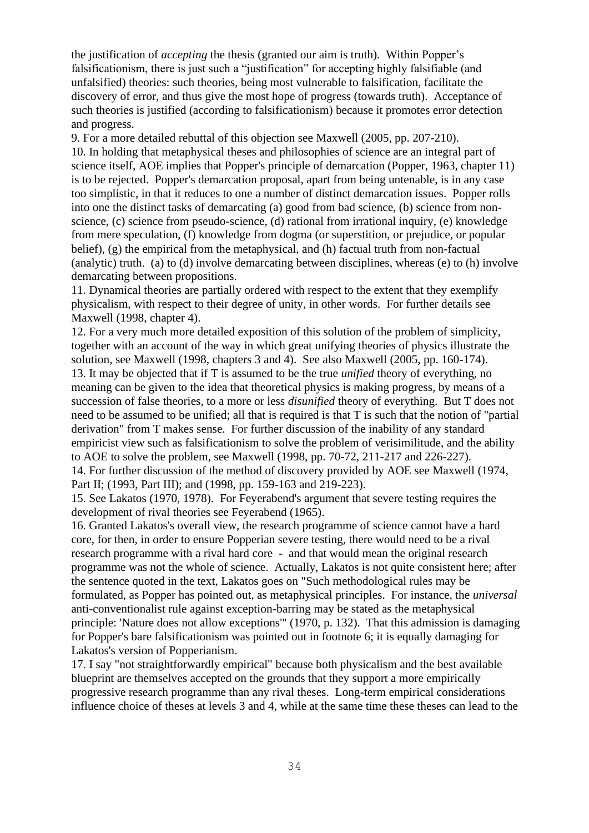the justification of *accepting* the thesis (granted our aim is truth). Within Popper's falsificationism, there is just such a "justification" for accepting highly falsifiable (and unfalsified) theories: such theories, being most vulnerable to falsification, facilitate the discovery of error, and thus give the most hope of progress (towards truth). Acceptance of such theories is justified (according to falsificationism) because it promotes error detection and progress.

9. For a more detailed rebuttal of this objection see Maxwell (2005, pp. 207-210). 10. In holding that metaphysical theses and philosophies of science are an integral part of science itself, AOE implies that Popper's principle of demarcation (Popper, 1963, chapter 11) is to be rejected. Popper's demarcation proposal, apart from being untenable, is in any case too simplistic, in that it reduces to one a number of distinct demarcation issues. Popper rolls into one the distinct tasks of demarcating (a) good from bad science, (b) science from nonscience, (c) science from pseudo-science, (d) rational from irrational inquiry, (e) knowledge from mere speculation, (f) knowledge from dogma (or superstition, or prejudice, or popular belief), (g) the empirical from the metaphysical, and (h) factual truth from non-factual (analytic) truth. (a) to (d) involve demarcating between disciplines, whereas (e) to (h) involve demarcating between propositions.

11. Dynamical theories are partially ordered with respect to the extent that they exemplify physicalism, with respect to their degree of unity, in other words. For further details see Maxwell (1998, chapter 4).

12. For a very much more detailed exposition of this solution of the problem of simplicity, together with an account of the way in which great unifying theories of physics illustrate the solution, see Maxwell (1998, chapters 3 and 4). See also Maxwell (2005, pp. 160-174). 13. It may be objected that if T is assumed to be the true *unified* theory of everything, no meaning can be given to the idea that theoretical physics is making progress, by means of a succession of false theories, to a more or less *disunified* theory of everything. But T does not need to be assumed to be unified; all that is required is that T is such that the notion of "partial derivation" from T makes sense. For further discussion of the inability of any standard empiricist view such as falsificationism to solve the problem of verisimilitude, and the ability to AOE to solve the problem, see Maxwell (1998, pp. 70-72, 211-217 and 226-227). 14. For further discussion of the method of discovery provided by AOE see Maxwell (1974, Part II; (1993, Part III); and (1998, pp. 159-163 and 219-223).

15. See Lakatos (1970, 1978). For Feyerabend's argument that severe testing requires the development of rival theories see Feyerabend (1965).

16. Granted Lakatos's overall view, the research programme of science cannot have a hard core, for then, in order to ensure Popperian severe testing, there would need to be a rival research programme with a rival hard core - and that would mean the original research programme was not the whole of science. Actually, Lakatos is not quite consistent here; after the sentence quoted in the text, Lakatos goes on "Such methodological rules may be formulated, as Popper has pointed out, as metaphysical principles. For instance, the *universal* anti-conventionalist rule against exception-barring may be stated as the metaphysical principle: 'Nature does not allow exceptions'" (1970, p. 132). That this admission is damaging for Popper's bare falsificationism was pointed out in footnote 6; it is equally damaging for Lakatos's version of Popperianism.

17. I say "not straightforwardly empirical" because both physicalism and the best available blueprint are themselves accepted on the grounds that they support a more empirically progressive research programme than any rival theses. Long-term empirical considerations influence choice of theses at levels 3 and 4, while at the same time these theses can lead to the